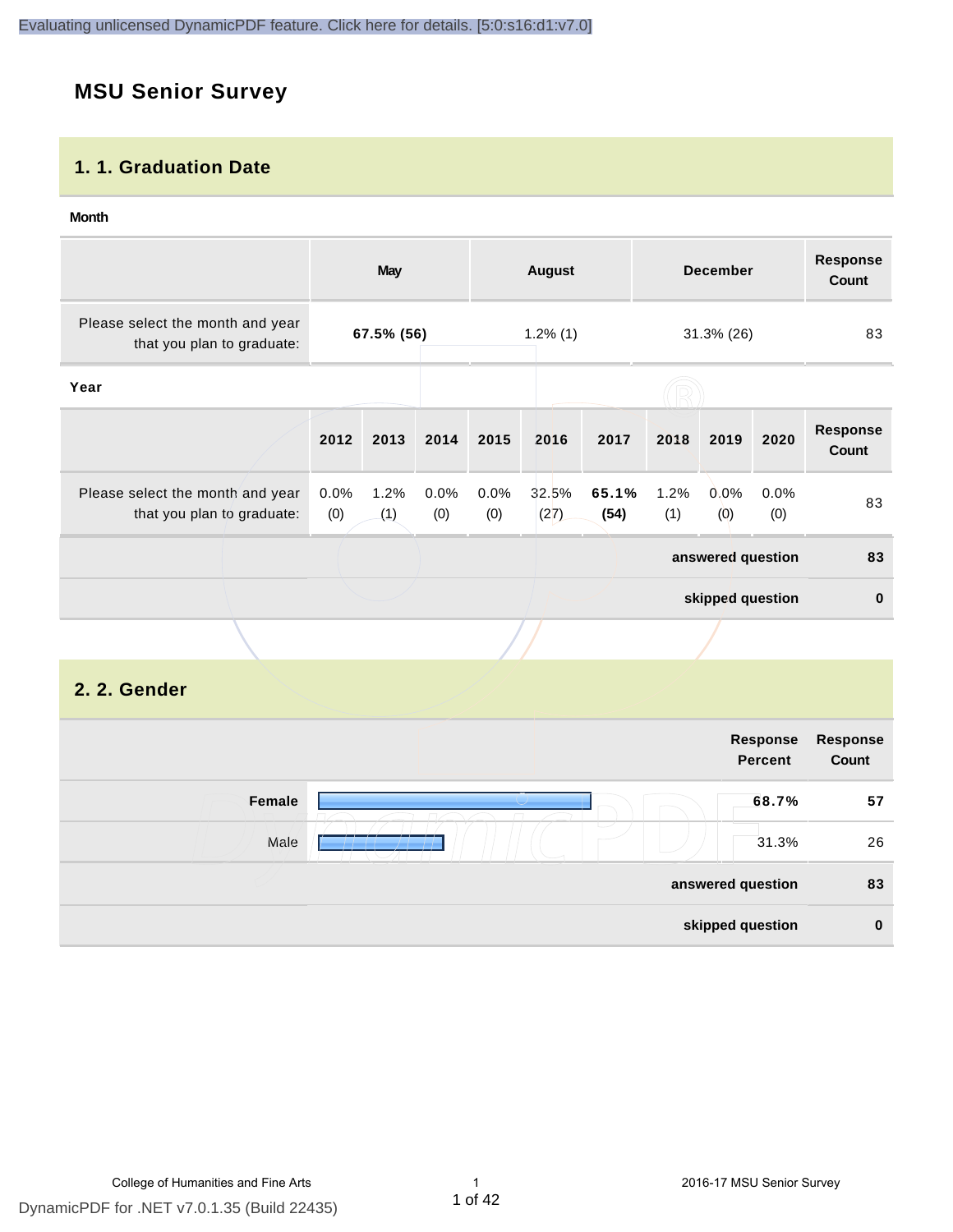# **MSU Senior Survey**

#### **1. 1. Graduation Date**

#### **Month**

|                                                                |             | <b>May</b>  |             |             | <b>August</b> |               |                   | <b>December</b>  |             | <b>Response</b><br>Count        |
|----------------------------------------------------------------|-------------|-------------|-------------|-------------|---------------|---------------|-------------------|------------------|-------------|---------------------------------|
| Please select the month and year<br>that you plan to graduate: | 67.5% (56)  |             | $1.2\%$ (1) |             |               | 31.3% (26)    |                   | 83               |             |                                 |
| Year                                                           |             |             |             |             |               |               |                   |                  |             |                                 |
|                                                                | 2012        | 2013        | 2014        | 2015        | 2016          | 2017          | 2018              | 2019             | 2020        | <b>Response</b><br><b>Count</b> |
| Please select the month and year<br>that you plan to graduate: | 0.0%<br>(0) | 1.2%<br>(1) | 0.0%<br>(0) | 0.0%<br>(0) | 32.5%<br>(27) | 65.1%<br>(54) | 1.2%<br>(1)       | 0.0%<br>(0)      | 0.0%<br>(0) | 83                              |
|                                                                |             |             |             |             |               |               | answered question |                  | 83          |                                 |
|                                                                |             |             |             |             |               |               |                   | skipped question |             | $\bf{0}$                        |
|                                                                |             |             |             |             |               |               |                   |                  |             |                                 |
| 2. 2. Gender                                                   |             |             |             |             |               |               |                   |                  |             |                                 |

|                                  | Response<br><b>Percent</b> | Response<br>Count |
|----------------------------------|----------------------------|-------------------|
| Female                           | 68.7%                      | 57                |
| $\overline{\phantom{a}}$<br>Male | 31.3%                      | 26                |
|                                  | answered question          | 83                |
|                                  | skipped question           | $\bf{0}$          |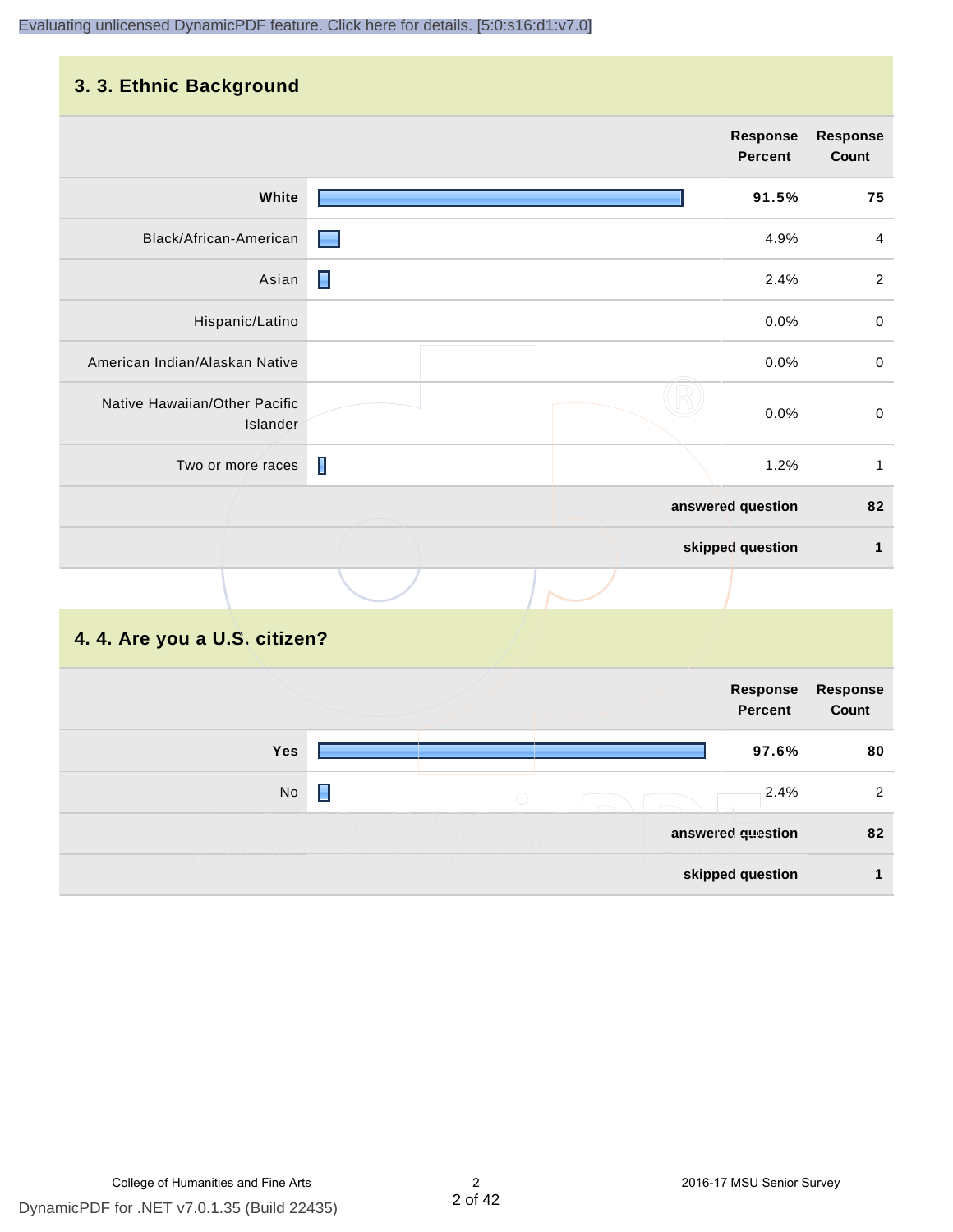### **3. 3. Ethnic Background**

|                                           |                | <b>Response</b><br>Percent | <b>Response</b><br>Count |
|-------------------------------------------|----------------|----------------------------|--------------------------|
| White                                     |                | 91.5%                      | 75                       |
| Black/African-American                    |                | 4.9%                       | $\overline{4}$           |
| Asian                                     | $\blacksquare$ | 2.4%                       | $\overline{2}$           |
| Hispanic/Latino                           |                | 0.0%                       | $\pmb{0}$                |
| American Indian/Alaskan Native            |                | 0.0%                       | $\mbox{O}$               |
| Native Hawaiian/Other Pacific<br>Islander |                | 0.0%                       | $\,0\,$                  |
| Two or more races                         | $\blacksquare$ | 1.2%                       | $\mathbf{1}$             |
|                                           |                | answered question          | 82                       |
|                                           |                | skipped question           | 1                        |
|                                           |                |                            |                          |

# **4. 4. Are you a U.S. citizen?**

|     |                                             | Response<br><b>Percent</b> | Response<br>Count |
|-----|---------------------------------------------|----------------------------|-------------------|
| Yes |                                             | 97.6%                      | 80                |
| No  | $\left(\begin{array}{c} \end{array}\right)$ | 2.4%                       | 2                 |
|     |                                             | answered question          | 82                |
|     |                                             | skipped question           |                   |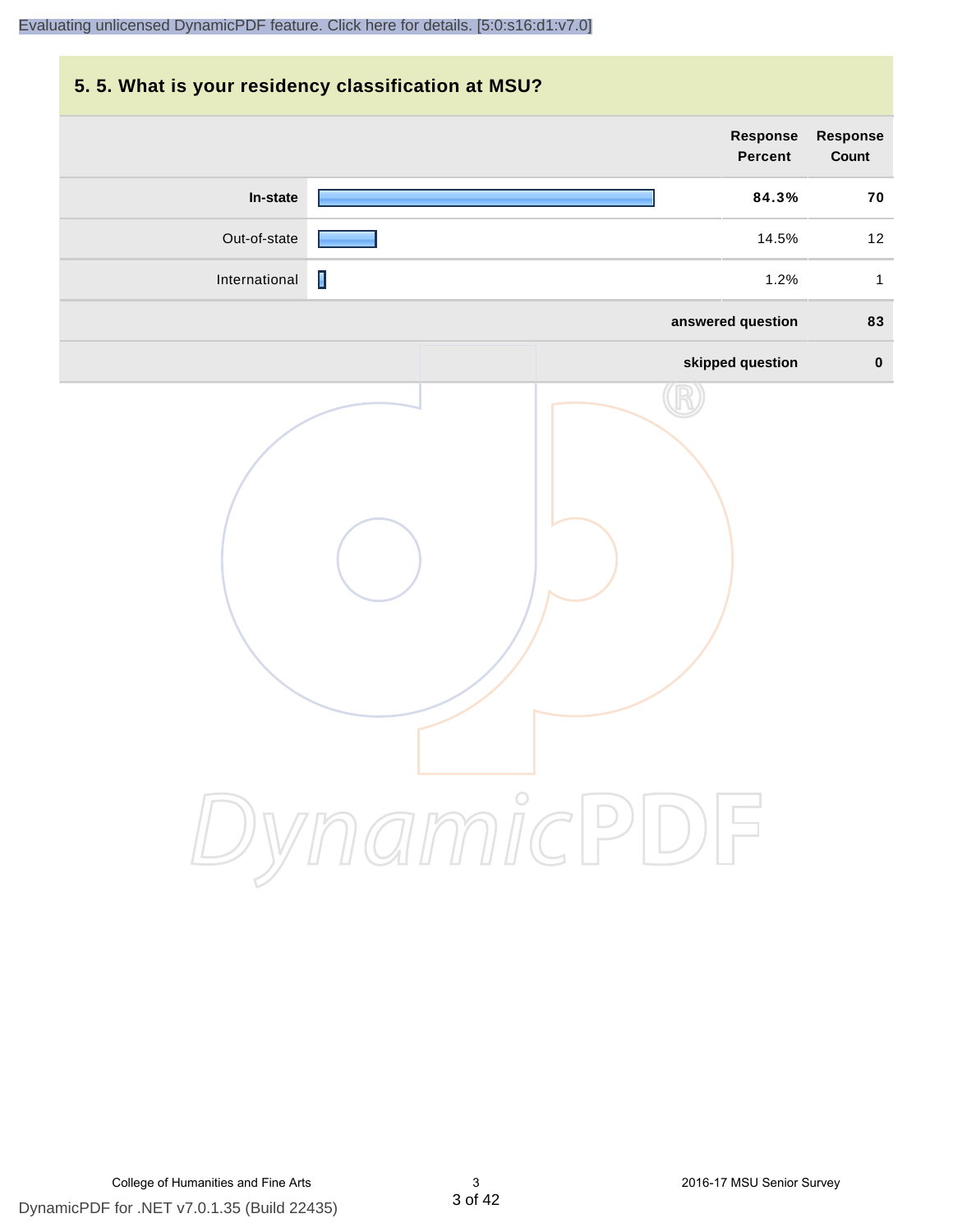# **5. 5. What is your residency classification at MSU? Response Response Percent Count In-state 84.3% 70** Out-of-state **14.5%** 12 International **1.2%** 1 **answered question 83 skipped question 0** DynamicPDF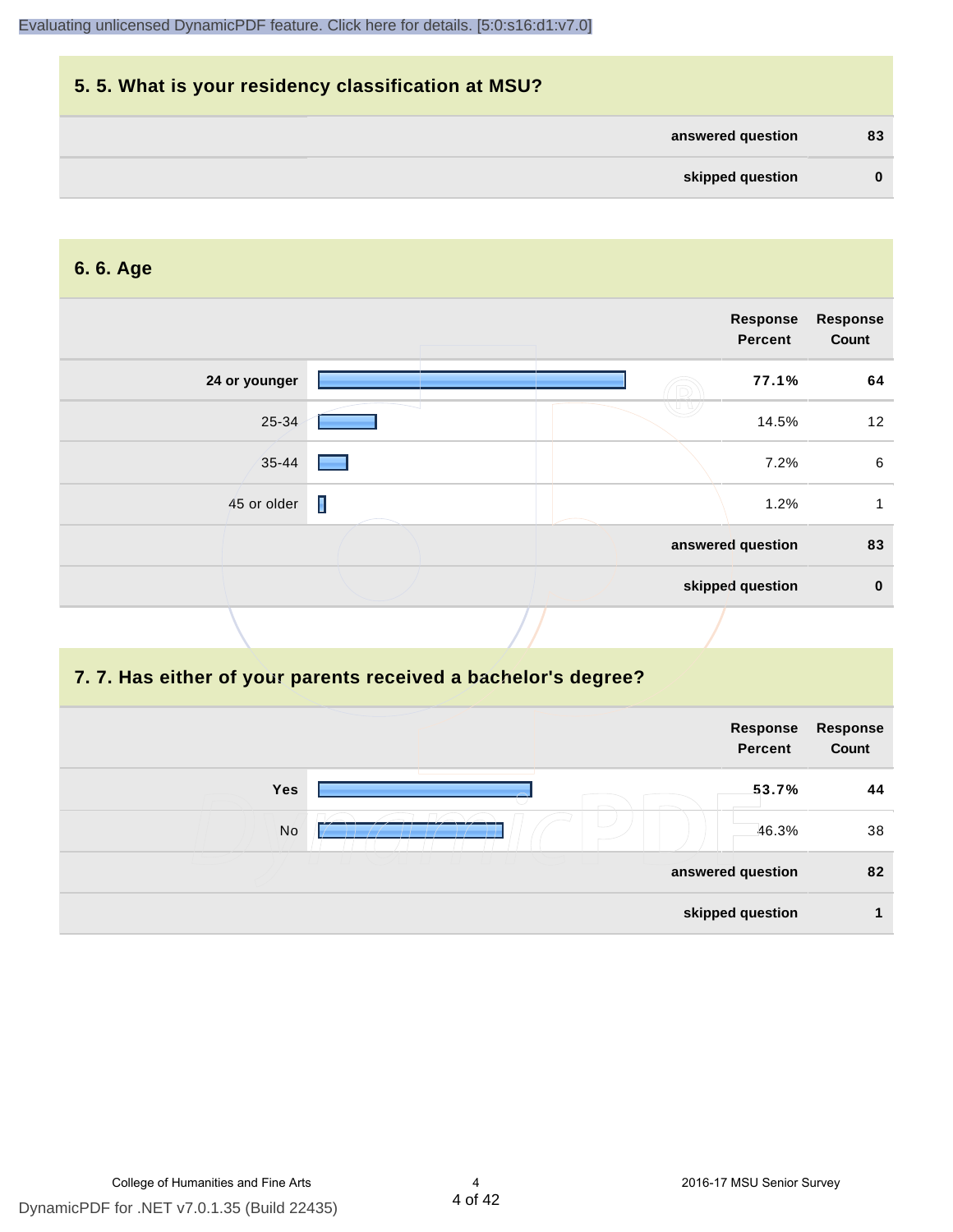| 5.5. What is your residency classification at MSU? |          |
|----------------------------------------------------|----------|
| answered question                                  | 83       |
| skipped question                                   | $\bf{0}$ |

#### **6. 6. Age**

|               |                | Response<br><b>Percent</b> | <b>Response</b><br>Count |
|---------------|----------------|----------------------------|--------------------------|
| 24 or younger |                | 77.1%                      | 64                       |
| 25-34         |                | 14.5%                      | 12                       |
| $35 - 44$     |                | 7.2%                       | 6                        |
| 45 or older   | $\blacksquare$ | 1.2%                       |                          |
|               |                | answered question          | 83                       |
|               |                | skipped question           | $\bf{0}$                 |

#### **7. 7. Has either of your parents received a bachelor's degree?**

|     | Response<br>Percent | Response<br>Count |
|-----|---------------------|-------------------|
| Yes | 53.7%               | 44                |
| No  | 46.3%               | 38                |
|     | answered question   | 82                |
|     | skipped question    |                   |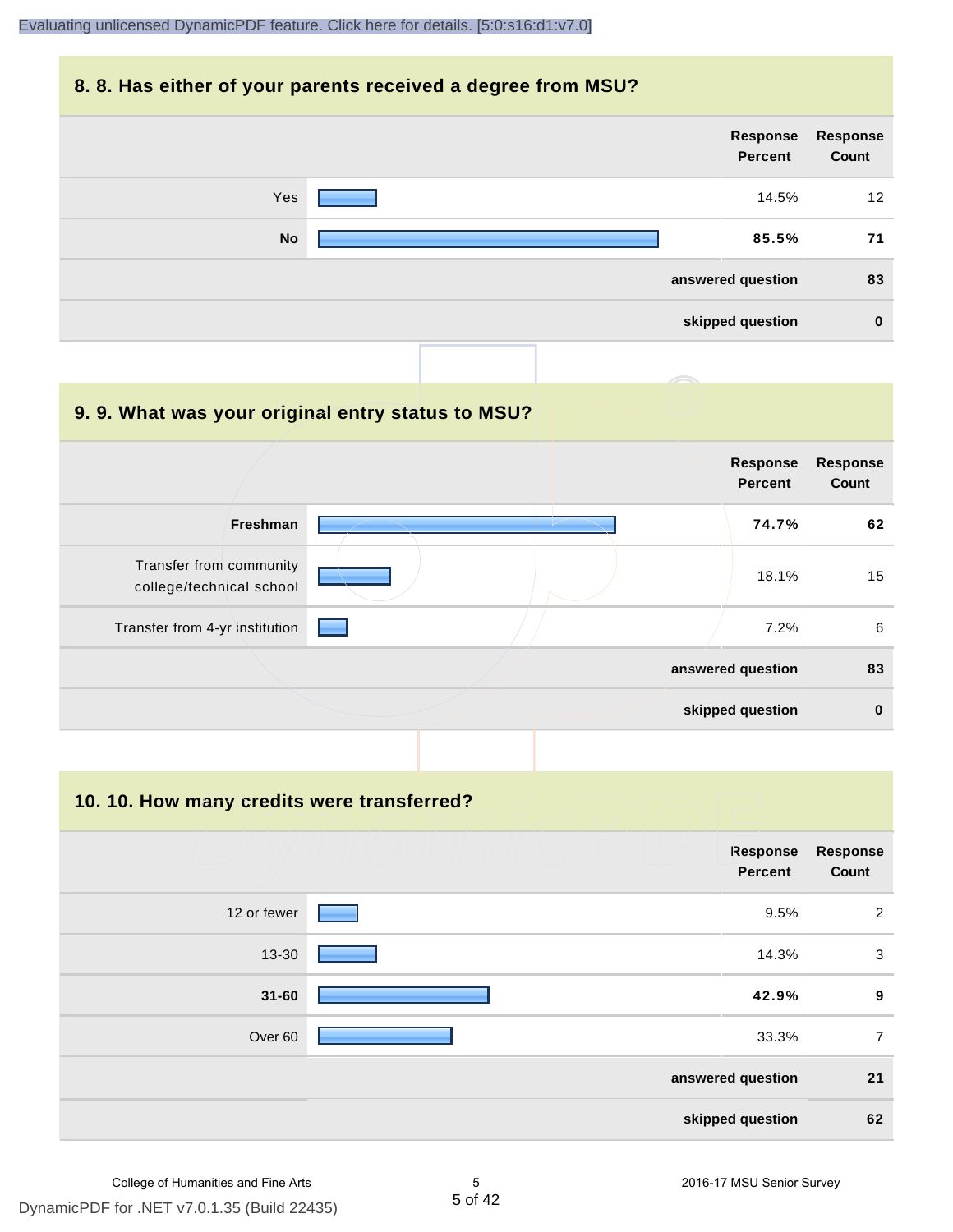#### **8. 8. Has either of your parents received a degree from MSU?**

| Response<br>Count | Response<br><b>Percent</b> |           |
|-------------------|----------------------------|-----------|
| 12                | 14.5%                      | Yes       |
| 71                | 85.5%                      | <b>No</b> |
| 83                | answered question          |           |
| $\bf{0}$          | skipped question           |           |

| 9.9. What was your original entry status to MSU?    |                                   |                          |
|-----------------------------------------------------|-----------------------------------|--------------------------|
|                                                     | <b>Response</b><br><b>Percent</b> | <b>Response</b><br>Count |
| Freshman                                            | 74.7%                             | 62                       |
| Transfer from community<br>college/technical school | 18.1%                             | 15                       |
| Transfer from 4-yr institution                      | 7.2%                              | 6                        |
|                                                     | answered question                 | 83                       |
|                                                     | skipped question                  | $\bf{0}$                 |

**10. 10. How many credits were transferred?**

| <b>Response</b><br>Count | Response<br><b>Percent</b> |                    |
|--------------------------|----------------------------|--------------------|
| 2                        | 9.5%                       | 12 or fewer        |
| 3                        | 14.3%                      | 13-30              |
| 9                        | 42.9%                      | $31 - 60$          |
| $\overline{7}$           | 33.3%                      | Over <sub>60</sub> |
| 21                       | answered question          |                    |
| 62                       | skipped question           |                    |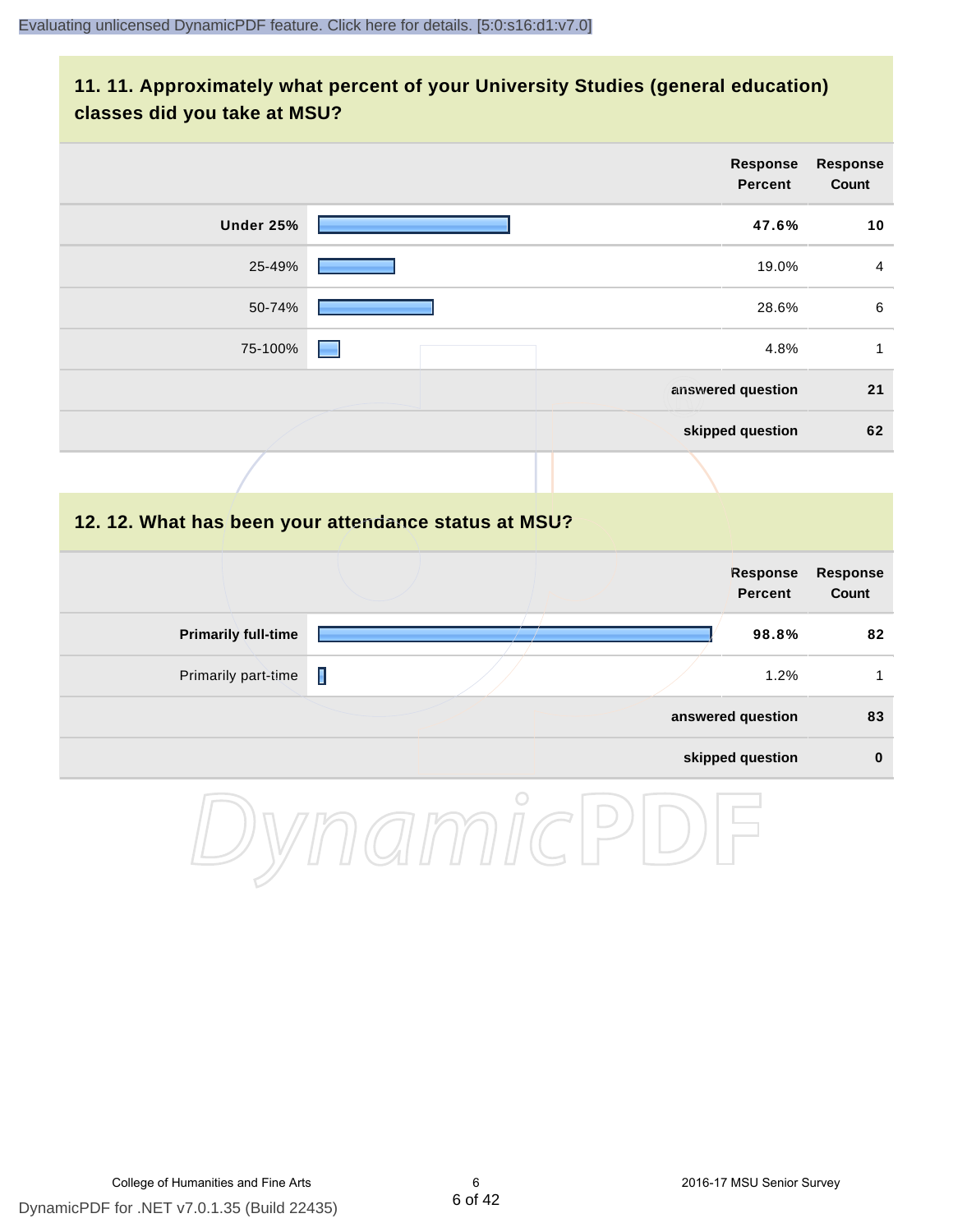#### **11. 11. Approximately what percent of your University Studies (general education) classes did you take at MSU?**

|                            |                                                      | <b>Response</b><br><b>Percent</b> |       | <b>Response</b><br><b>Count</b> |
|----------------------------|------------------------------------------------------|-----------------------------------|-------|---------------------------------|
| <b>Under 25%</b>           |                                                      |                                   | 47.6% | 10                              |
| 25-49%                     |                                                      |                                   | 19.0% | 4                               |
| 50-74%                     |                                                      |                                   | 28.6% | $\,6\,$                         |
| 75-100%                    |                                                      |                                   | 4.8%  | $\mathbf{1}$                    |
|                            |                                                      | answered question                 |       | 21                              |
|                            |                                                      | skipped question                  |       | 62                              |
|                            |                                                      |                                   |       |                                 |
|                            | 12. 12. What has been your attendance status at MSU? |                                   |       |                                 |
|                            |                                                      | <b>Response</b><br><b>Percent</b> |       | <b>Response</b><br><b>Count</b> |
| <b>Primarily full-time</b> |                                                      |                                   | 98.8% | 82                              |
| Primarily part-time        | П                                                    |                                   | 1.2%  | $\mathbf{1}$                    |
|                            |                                                      | answered question                 |       | 83                              |
|                            |                                                      | skipped question                  |       | $\pmb{0}$                       |
|                            | $\bigcap$                                            |                                   |       |                                 |

DynamicPDF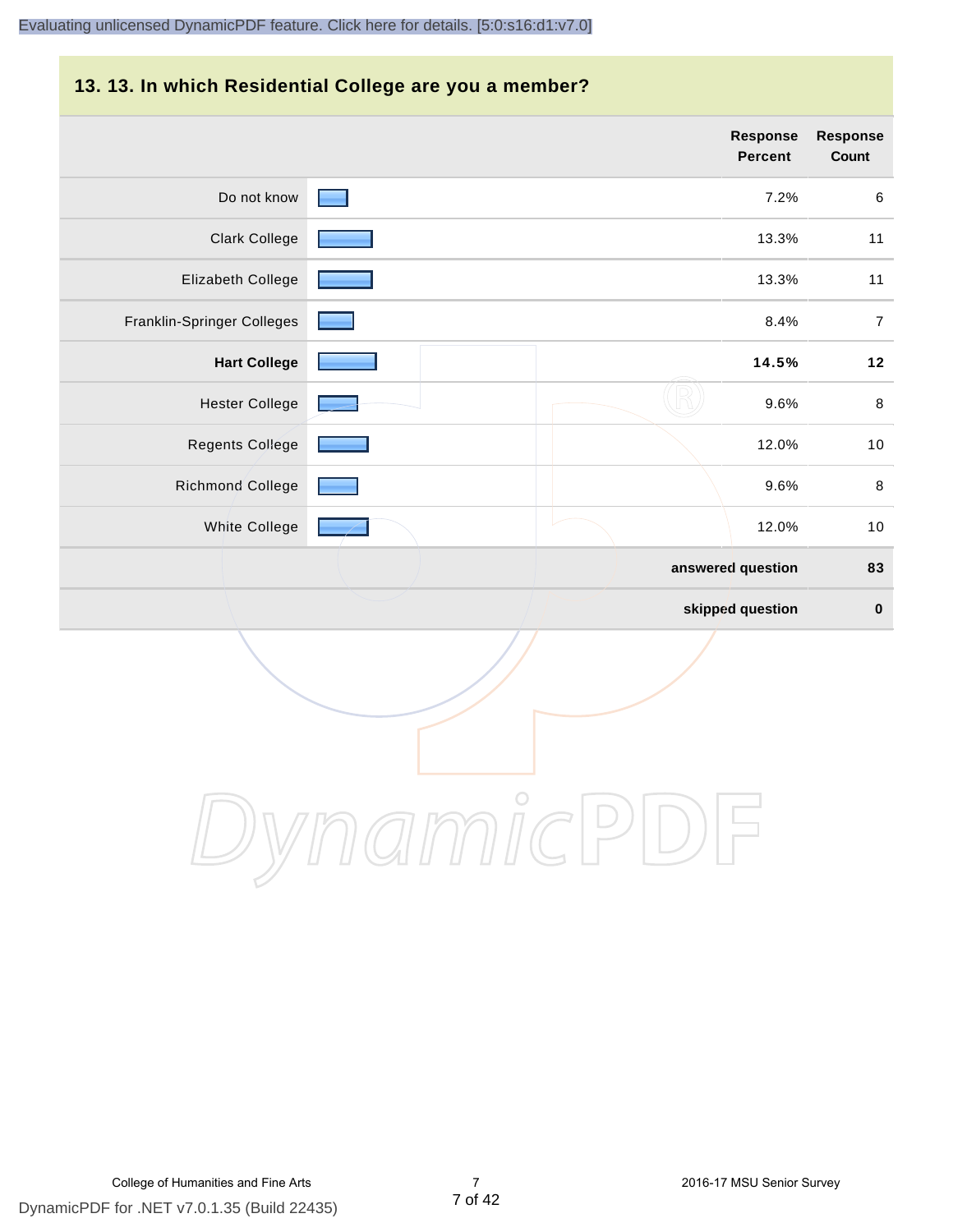# **13. 13. In which Residential College are you a member?**

|                            | <b>Response</b><br>Percent | <b>Response</b><br>Count |
|----------------------------|----------------------------|--------------------------|
| Do not know                | 7.2%                       | 6                        |
| <b>Clark College</b>       | 13.3%                      | 11                       |
| Elizabeth College          | 13.3%                      | 11                       |
| Franklin-Springer Colleges | 8.4%                       | $\overline{7}$           |
| <b>Hart College</b>        | 14.5%                      | $12$                     |
| <b>Hester College</b>      | 9.6%                       | $\,8\,$                  |
| <b>Regents College</b>     | 12.0%                      | $10$                     |
| Richmond College           | 9.6%                       | $\,8\,$                  |
| White College              | 12.0%                      | 10                       |
|                            | answered question          | 83                       |
|                            | skipped question           | $\pmb{0}$                |

DynamicPDF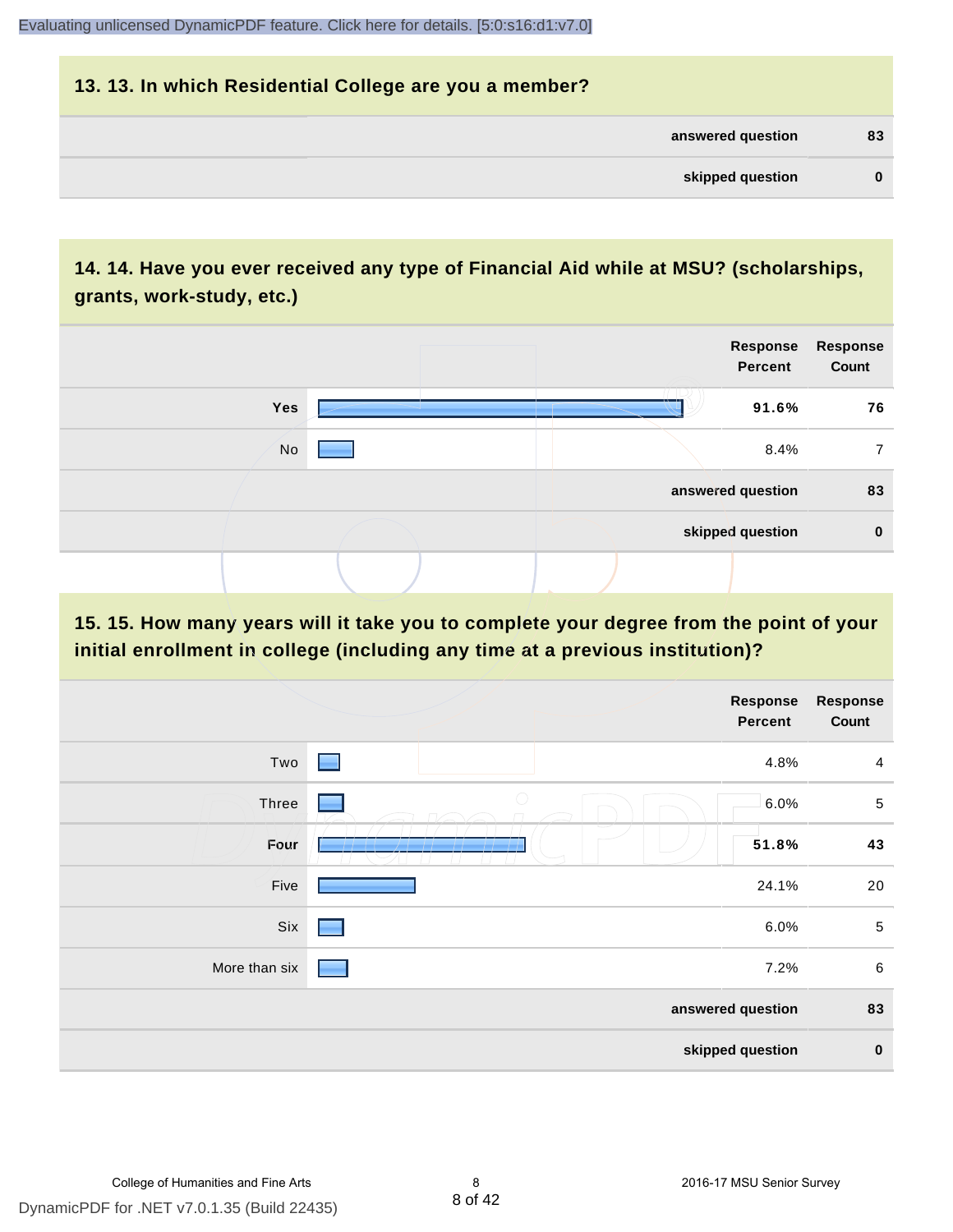| 13. 13. In which Residential College are you a member? |          |
|--------------------------------------------------------|----------|
| answered question                                      | 83       |
| skipped question                                       | $\bf{0}$ |

# **14. 14. Have you ever received any type of Financial Aid while at MSU? (scholarships, grants, work-study, etc.)**



**15. 15. How many years will it take you to complete your degree from the point of your initial enrollment in college (including any time at a previous institution)?**

|               |                     | <b>Response</b><br>Percent | <b>Response</b><br>Count |
|---------------|---------------------|----------------------------|--------------------------|
| Two           | <b>Filte</b>        | 4.8%                       | $\overline{4}$           |
| Three         | $\bigcirc$          | 6.0%                       | $\overline{5}$           |
| Four          | $\mathbf{1}$<br>- - | 51.8%                      | 43                       |
| Five          |                     | 24.1%                      | 20                       |
| Six           |                     | 6.0%                       | $\sqrt{5}$               |
| More than six |                     | 7.2%                       | $\,6\,$                  |
|               |                     | answered question          | 83                       |
|               |                     | skipped question           | $\pmb{0}$                |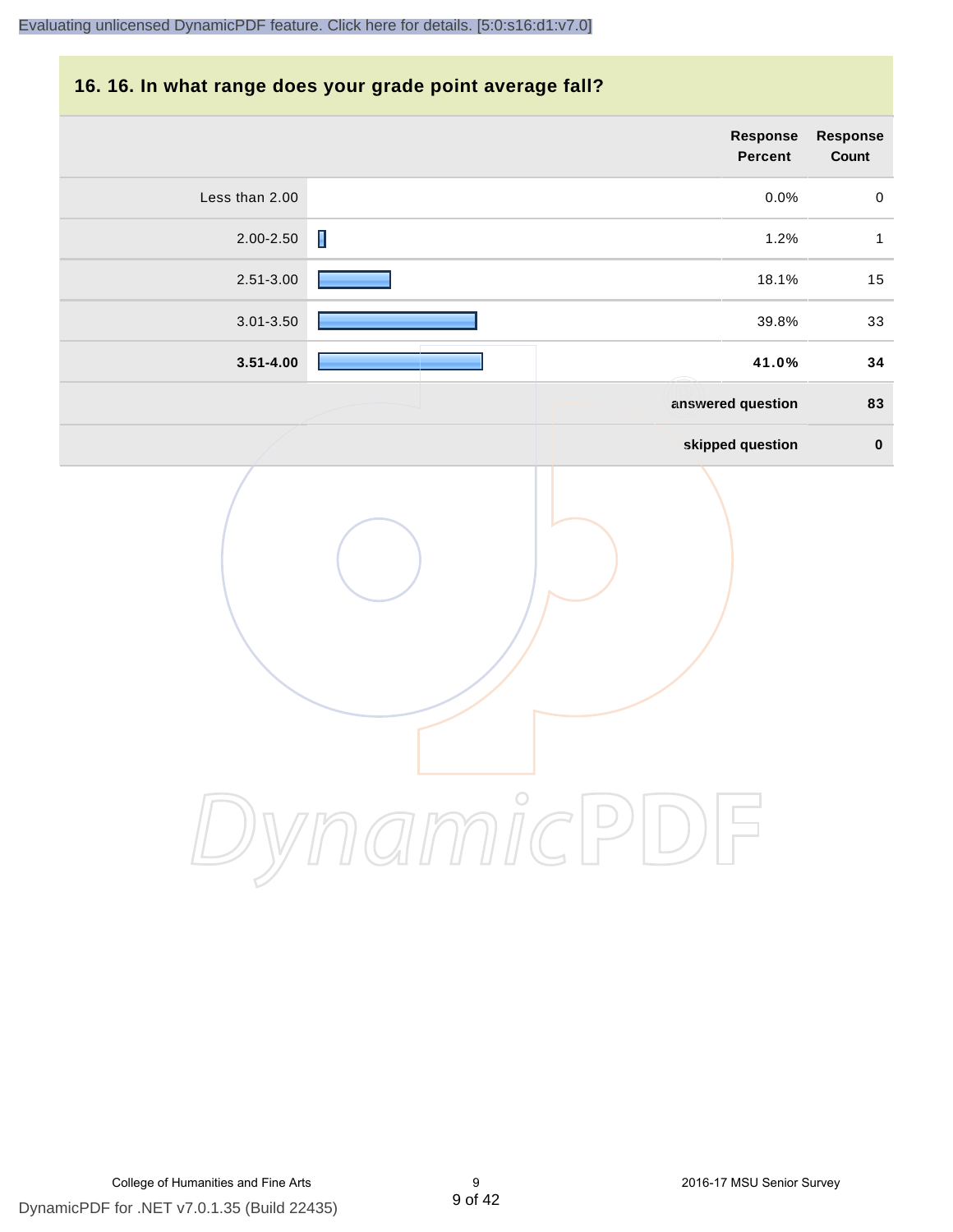#### **16. 16. In what range does your grade point average fall?**

|                |                | Response<br>Percent | Response<br>Count |
|----------------|----------------|---------------------|-------------------|
| Less than 2.00 |                | $0.0\%$             | $\mathbf 0$       |
| 2.00-2.50      | $\blacksquare$ | 1.2%                | $\mathbf{1}$      |
| 2.51-3.00      |                | 18.1%               | $15\,$            |
| $3.01 - 3.50$  |                | 39.8%               | 33                |
| $3.51 - 4.00$  |                | 41.0%               | 34                |
|                |                | answered question   | 83                |
|                |                | skipped question    | $\pmb{0}$         |
|                |                |                     |                   |

DynamicPDF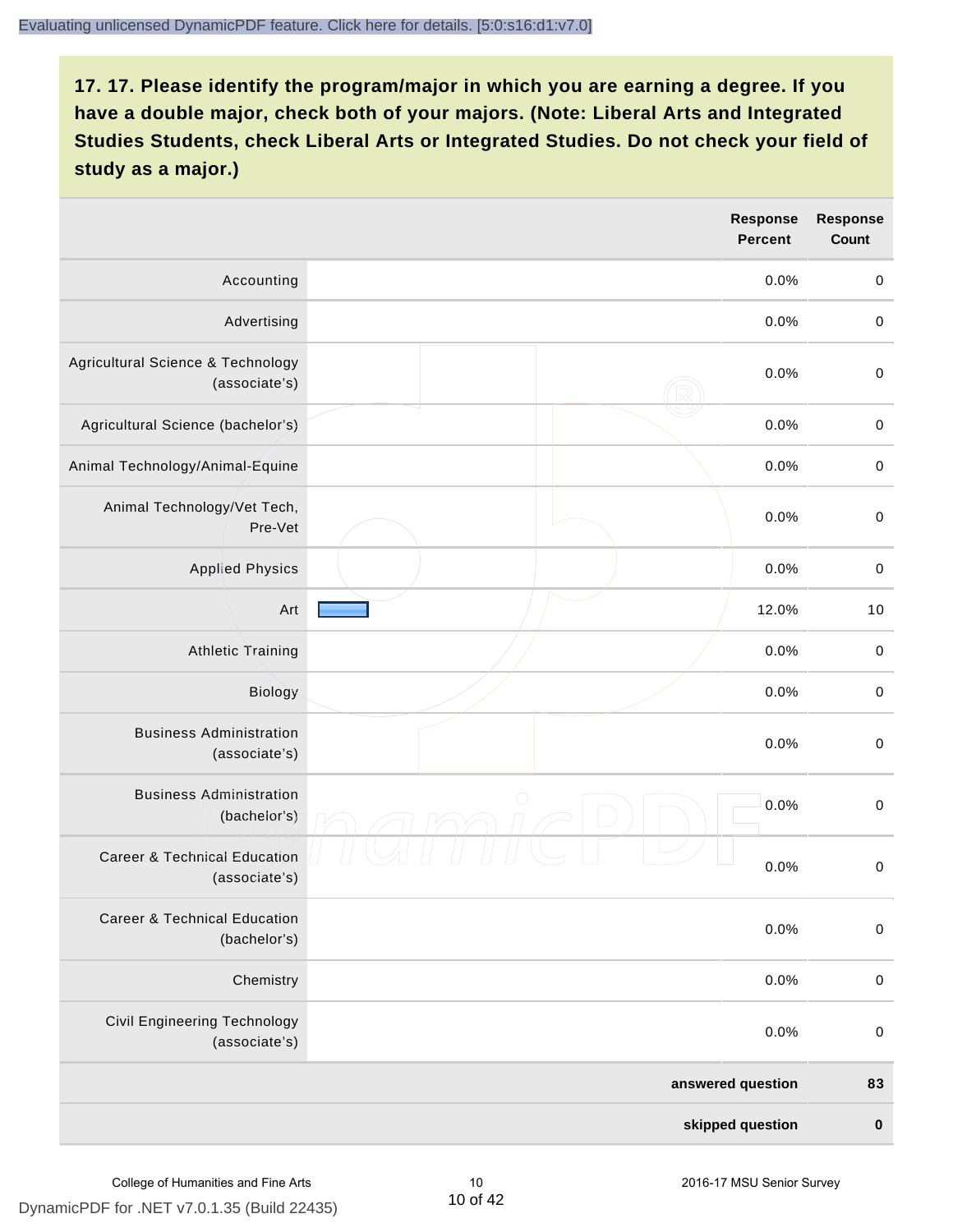|                                                          | <b>Response</b><br><b>Percent</b> | <b>Response</b><br><b>Count</b> |
|----------------------------------------------------------|-----------------------------------|---------------------------------|
| Accounting                                               | 0.0%                              | $\pmb{0}$                       |
| Advertising                                              | 0.0%                              | $\boldsymbol{0}$                |
| Agricultural Science & Technology<br>(associate's)       | 0.0%                              | $\pmb{0}$                       |
| Agricultural Science (bachelor's)                        | 0.0%                              | $\mathbf 0$                     |
| Animal Technology/Animal-Equine                          | 0.0%                              | $\mathbf 0$                     |
| Animal Technology/Vet Tech,<br>Pre-Vet                   | 0.0%                              | $\mathbf 0$                     |
| <b>Applied Physics</b>                                   | 0.0%                              | $\mathbf 0$                     |
| Art                                                      | 12.0%                             | 10                              |
| <b>Athletic Training</b>                                 | 0.0%                              | $\,0\,$                         |
| Biology                                                  | 0.0%                              | $\boldsymbol{0}$                |
| <b>Business Administration</b><br>(associate's)          | 0.0%                              | $\pmb{0}$                       |
| <b>Business Administration</b><br>(bachelor's)           | $\bigcirc$<br>0.0%                | $\boldsymbol{0}$                |
| <b>Career &amp; Technical Education</b><br>(associate's) | 0.0%                              | $\mathbf 0$                     |
| <b>Career &amp; Technical Education</b><br>(bachelor's)  | 0.0%                              | $\pmb{0}$                       |
| Chemistry                                                | 0.0%                              | $\pmb{0}$                       |
| Civil Engineering Technology<br>(associate's)            | 0.0%                              | $\pmb{0}$                       |
|                                                          | answered question                 | 83                              |
|                                                          | skipped question                  | $\pmb{0}$                       |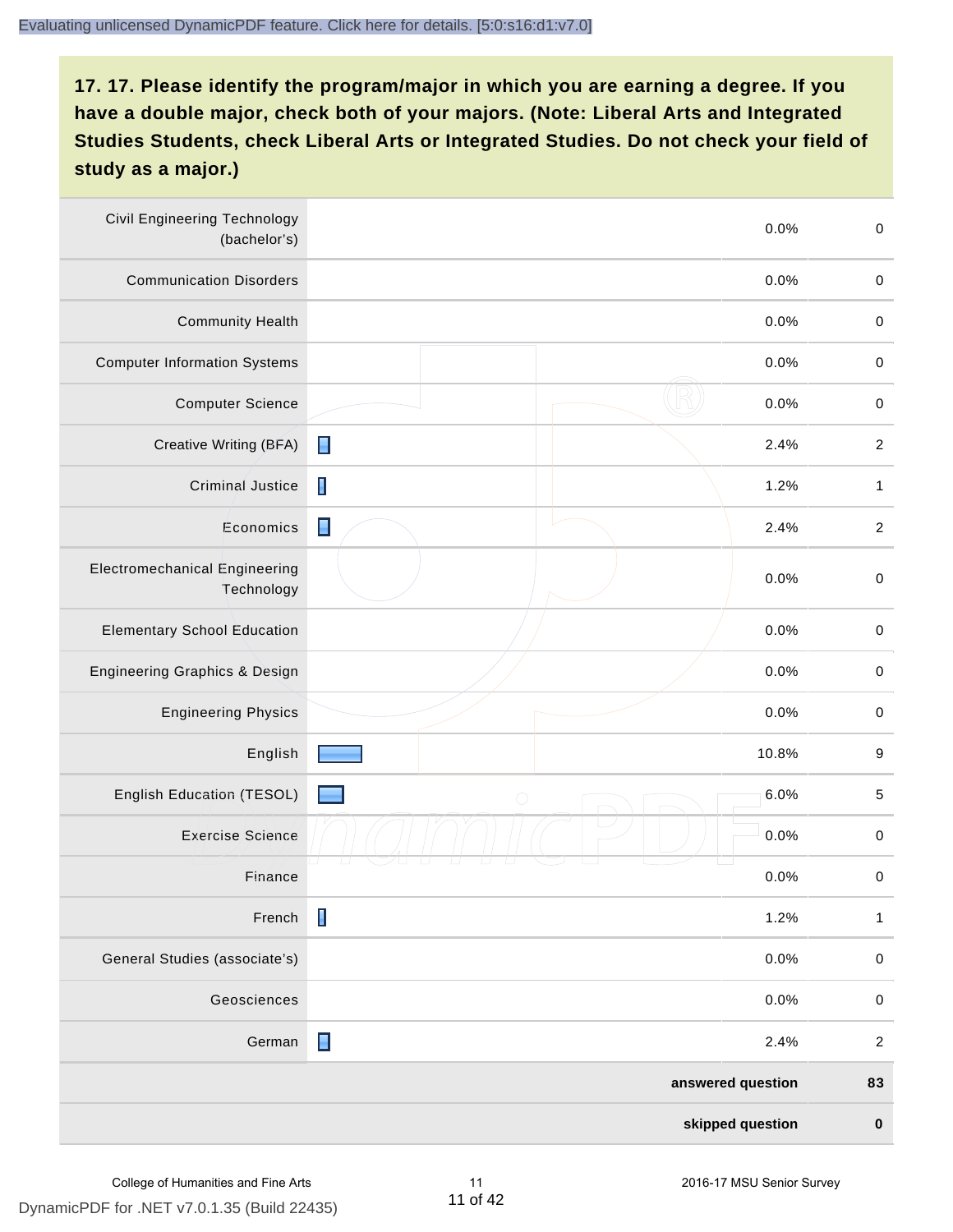| <b>Civil Engineering Technology</b><br>(bachelor's) |                | 0.0%              | $\mathbf 0$      |
|-----------------------------------------------------|----------------|-------------------|------------------|
| <b>Communication Disorders</b>                      |                | 0.0%              | $\mathbf 0$      |
| <b>Community Health</b>                             |                | 0.0%              | $\pmb{0}$        |
| <b>Computer Information Systems</b>                 |                | 0.0%              | $\pmb{0}$        |
| <b>Computer Science</b>                             |                | 0.0%              | $\pmb{0}$        |
| Creative Writing (BFA)                              | П              | 2.4%              | $\boldsymbol{2}$ |
| Criminal Justice                                    | П              | 1.2%              | $\mathbf{1}$     |
| Economics                                           | Π              | 2.4%              | $\boldsymbol{2}$ |
| <b>Electromechanical Engineering</b><br>Technology  |                | 0.0%              | $\mathbf 0$      |
| <b>Elementary School Education</b>                  |                | 0.0%              | $\mathbf 0$      |
| Engineering Graphics & Design                       |                | 0.0%              | $\pmb{0}$        |
| <b>Engineering Physics</b>                          |                | 0.0%              | $\mathbf 0$      |
| English                                             |                | 10.8%             | 9                |
| English Education (TESOL)                           | $\bigcirc$     | 6.0%              | $\mathbf 5$      |
| <b>Exercise Science</b>                             |                | 0.0%              | $\pmb{0}$        |
| Finance                                             |                | 0.0%              | $\mathbf 0$      |
| French                                              | $\blacksquare$ | 1.2%              | $\mathbf{1}$     |
| General Studies (associate's)                       |                | 0.0%              | $\mathbf 0$      |
| Geosciences                                         |                | 0.0%              | $\mathbf 0$      |
| German                                              | Ε              | 2.4%              | $\boldsymbol{2}$ |
|                                                     |                | answered question | 83               |
|                                                     |                | skipped question  | $\pmb{0}$        |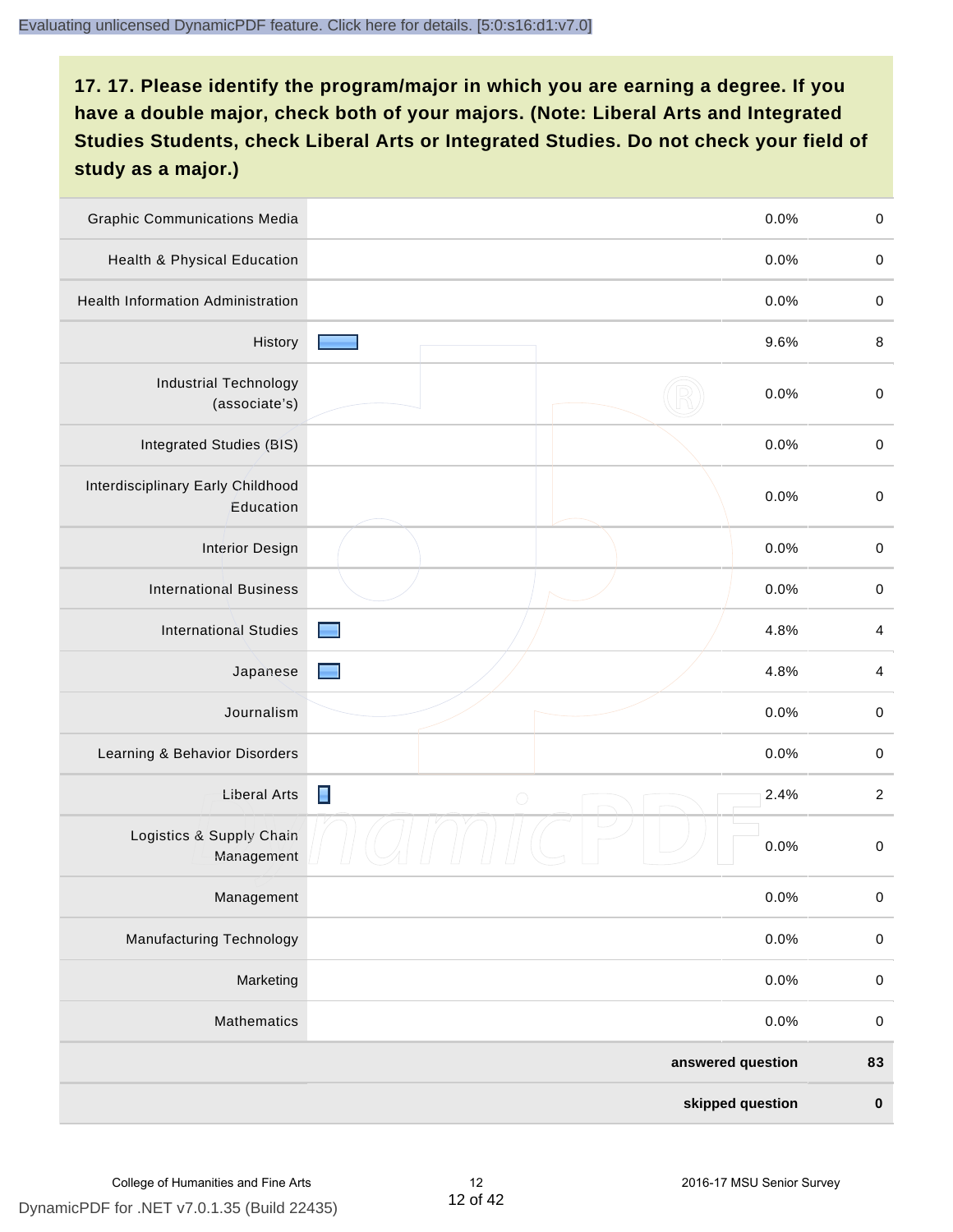| <b>Graphic Communications Media</b>            |                 | 0.0%              | $\,0\,$     |
|------------------------------------------------|-----------------|-------------------|-------------|
| <b>Health &amp; Physical Education</b>         |                 | 0.0%              | $\mathbf 0$ |
| <b>Health Information Administration</b>       |                 | 0.0%              | $\pmb{0}$   |
| History                                        |                 | 9.6%              | $\,8\,$     |
| <b>Industrial Technology</b><br>(associate's)  |                 | 0.0%              | $\mathbf 0$ |
| Integrated Studies (BIS)                       |                 | 0.0%              | $\mathbf 0$ |
| Interdisciplinary Early Childhood<br>Education |                 | 0.0%              | $\mathbf 0$ |
| <b>Interior Design</b>                         |                 | 0.0%              | $\mathbf 0$ |
| <b>International Business</b>                  |                 | 0.0%              | $\mathbf 0$ |
| <b>International Studies</b>                   |                 | 4.8%              | 4           |
| Japanese                                       |                 | 4.8%              | 4           |
| Journalism                                     |                 | 0.0%              | $\mathbf 0$ |
| Learning & Behavior Disorders                  |                 | 0.0%              | $\mathbf 0$ |
| <b>Liberal Arts</b>                            | Е<br>$\bigcirc$ | 2.4%              | $\sqrt{2}$  |
| Logistics & Supply Chain<br>Management         |                 | 0.0%              | $\mathbf 0$ |
| Management                                     |                 | 0.0%              | $\pmb{0}$   |
| <b>Manufacturing Technology</b>                |                 | 0.0%              | $\mathbf 0$ |
| Marketing                                      |                 | 0.0%              | $\mathbf 0$ |
| Mathematics                                    |                 | 0.0%              | $\,0\,$     |
|                                                |                 | answered question | 83          |
|                                                |                 | skipped question  | $\pmb{0}$   |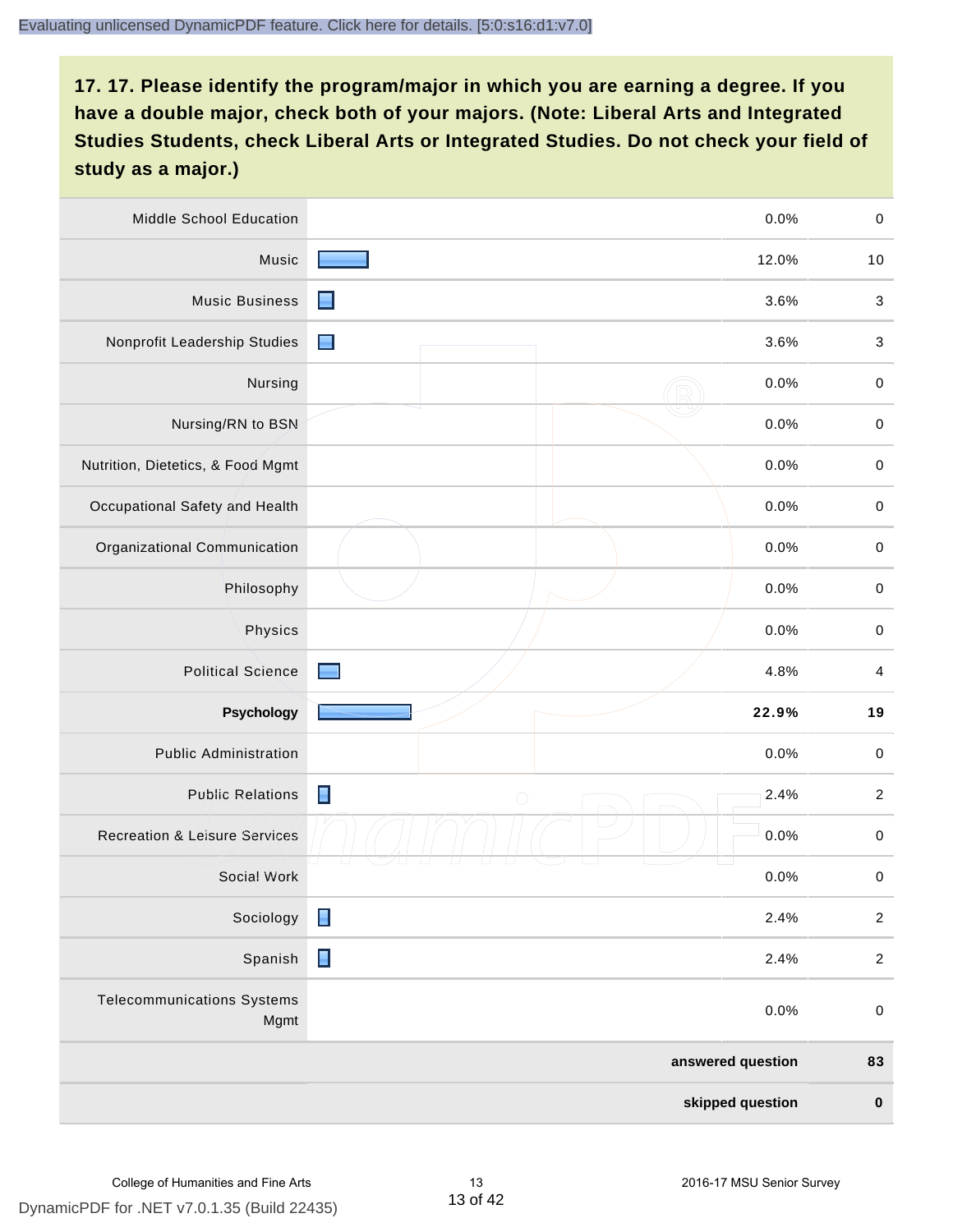| Middle School Education                   | 0.0%                    | $\,0\,$                   |
|-------------------------------------------|-------------------------|---------------------------|
| Music                                     | 12.0%                   | 10                        |
| <b>Music Business</b>                     | 3.6%<br>▬               | $\sqrt{3}$                |
| Nonprofit Leadership Studies              | $\blacksquare$<br>3.6%  | $\ensuremath{\mathsf{3}}$ |
| Nursing                                   | 0.0%                    | $\pmb{0}$                 |
| Nursing/RN to BSN                         | 0.0%                    | $\pmb{0}$                 |
| Nutrition, Dietetics, & Food Mgmt         | 0.0%                    | $\pmb{0}$                 |
| Occupational Safety and Health            | 0.0%                    | $\pmb{0}$                 |
| Organizational Communication              | 0.0%                    | $\pmb{0}$                 |
| Philosophy                                | 0.0%                    | $\pmb{0}$                 |
| Physics                                   | 0.0%                    | $\pmb{0}$                 |
| <b>Political Science</b>                  | 4.8%                    | $\overline{\mathbf{4}}$   |
|                                           |                         |                           |
| Psychology                                | 22.9%                   | 19                        |
| <b>Public Administration</b>              | 0.0%                    | $\pmb{0}$                 |
| <b>Public Relations</b>                   | Ε<br>2.4%<br>$\bigcirc$ | $\sqrt{2}$                |
| <b>Recreation &amp; Leisure Services</b>  | 0.0%                    | $\pmb{0}$                 |
| Social Work                               | 0.0%                    | $\pmb{0}$                 |
| Sociology                                 | Π<br>2.4%               | $\sqrt{2}$                |
| Spanish                                   | $\blacksquare$<br>2.4%  | $\sqrt{2}$                |
| <b>Telecommunications Systems</b><br>Mgmt | 0.0%                    | $\mathbf 0$               |
|                                           | answered question       | 83                        |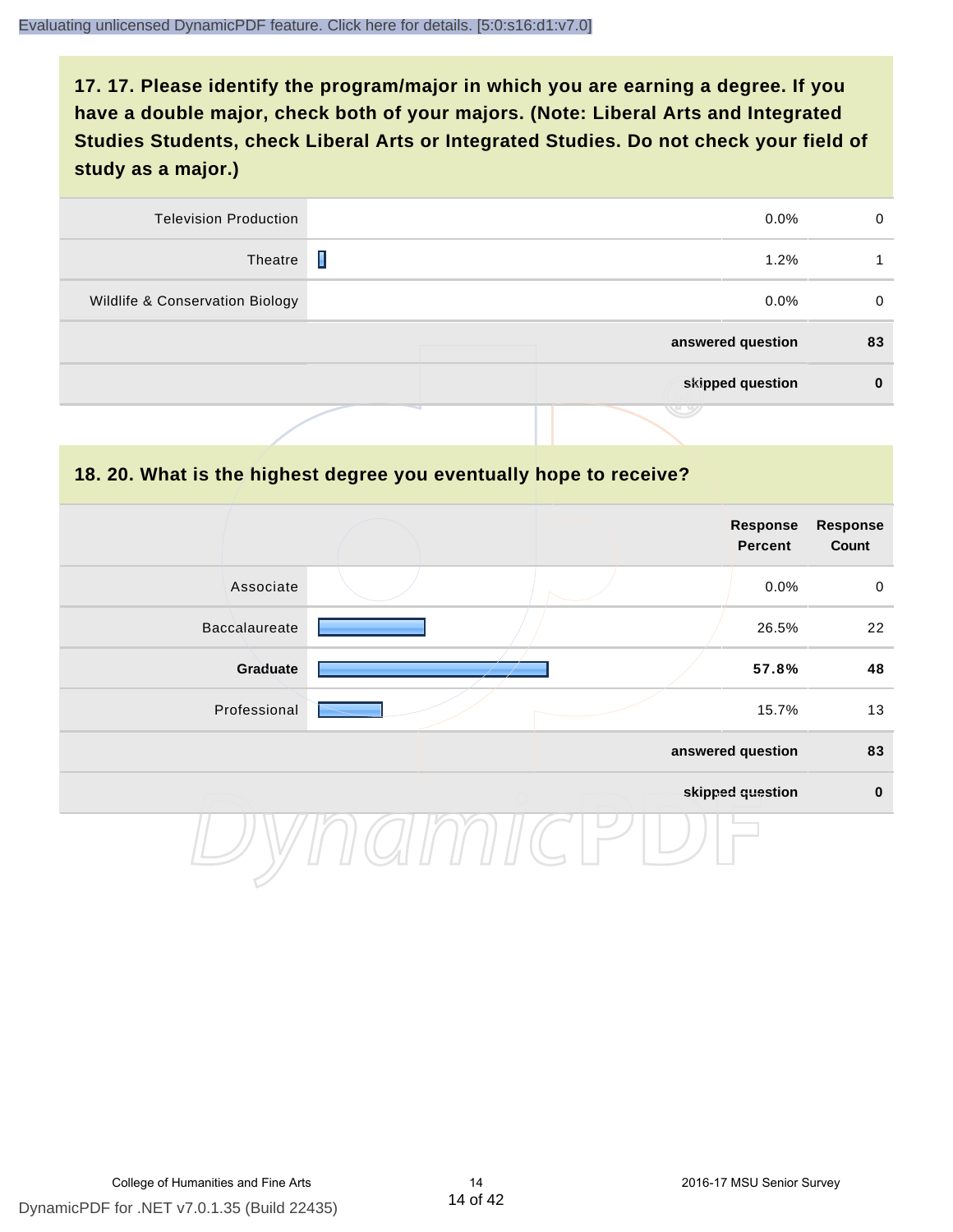| 0        | $0.0\%$           | <b>Television Production</b>    |
|----------|-------------------|---------------------------------|
|          | Ι<br>1.2%         | Theatre                         |
| $\Omega$ | $0.0\%$           | Wildlife & Conservation Biology |
| 83       | answered question |                                 |
| $\bf{0}$ | skipped question  |                                 |
|          |                   |                                 |

#### **18. 20. What is the highest degree you eventually hope to receive?**

|               |  | <b>Response</b><br><b>Percent</b> | <b>Response</b><br>Count |
|---------------|--|-----------------------------------|--------------------------|
| Associate     |  | 0.0%                              | $\mathbf 0$              |
| Baccalaureate |  | 26.5%                             | 22                       |
| Graduate      |  | 57.8%                             | 48                       |
| Professional  |  | 15.7%                             | 13                       |
|               |  | answered question                 | 83                       |
|               |  | skipped question                  | $\mathbf 0$              |
|               |  |                                   |                          |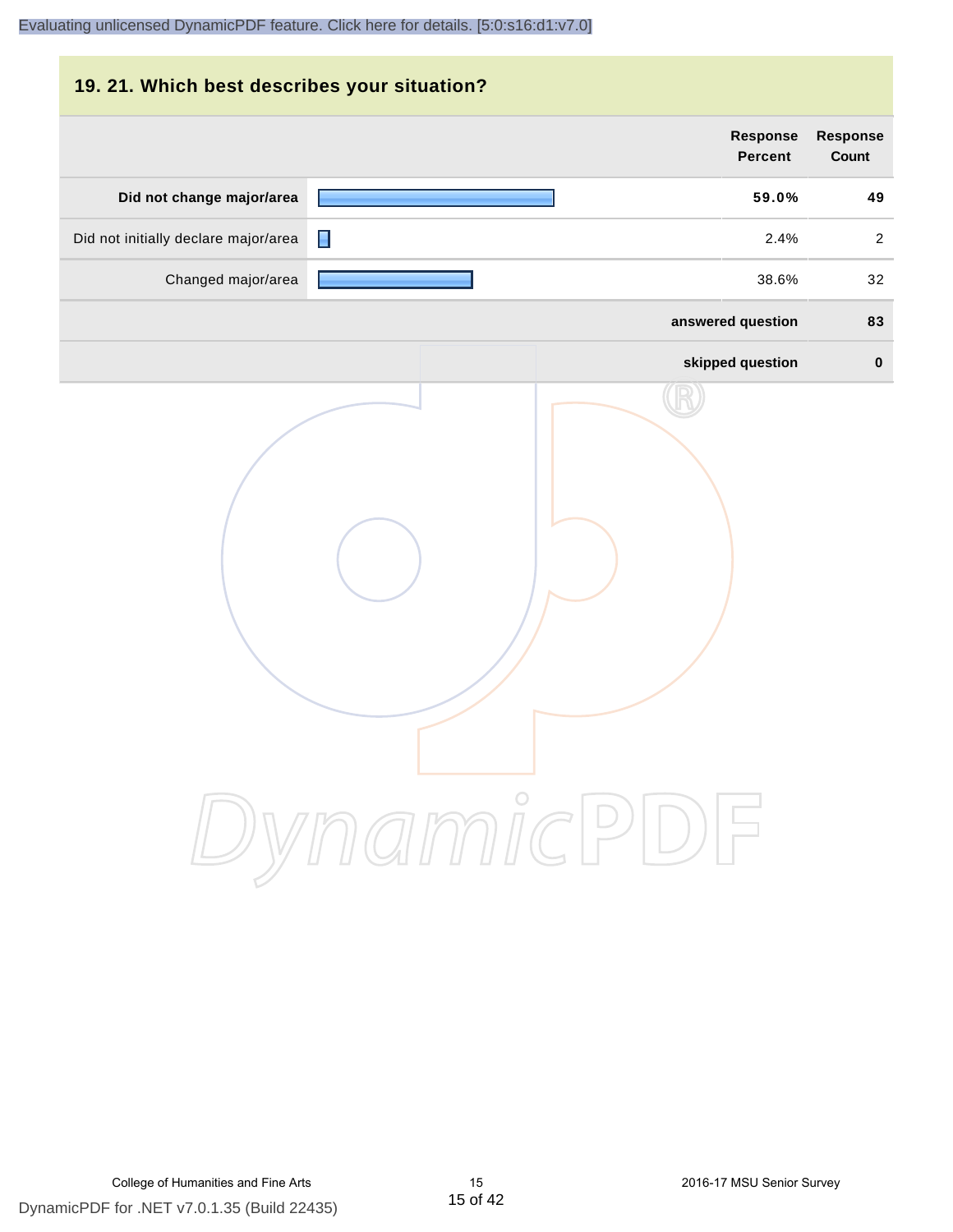| 19. 21. Which best describes your situation? |                                   |                                 |
|----------------------------------------------|-----------------------------------|---------------------------------|
|                                              | <b>Response</b><br><b>Percent</b> | <b>Response</b><br><b>Count</b> |
| Did not change major/area                    | 59.0%                             | 49                              |
| Did not initially declare major/area         | П<br>2.4%                         | $\overline{2}$                  |
| Changed major/area                           | 38.6%                             | 32                              |
|                                              | answered question                 | 83                              |
|                                              | skipped question                  | $\bf{0}$                        |
|                                              | DynamicPDF                        |                                 |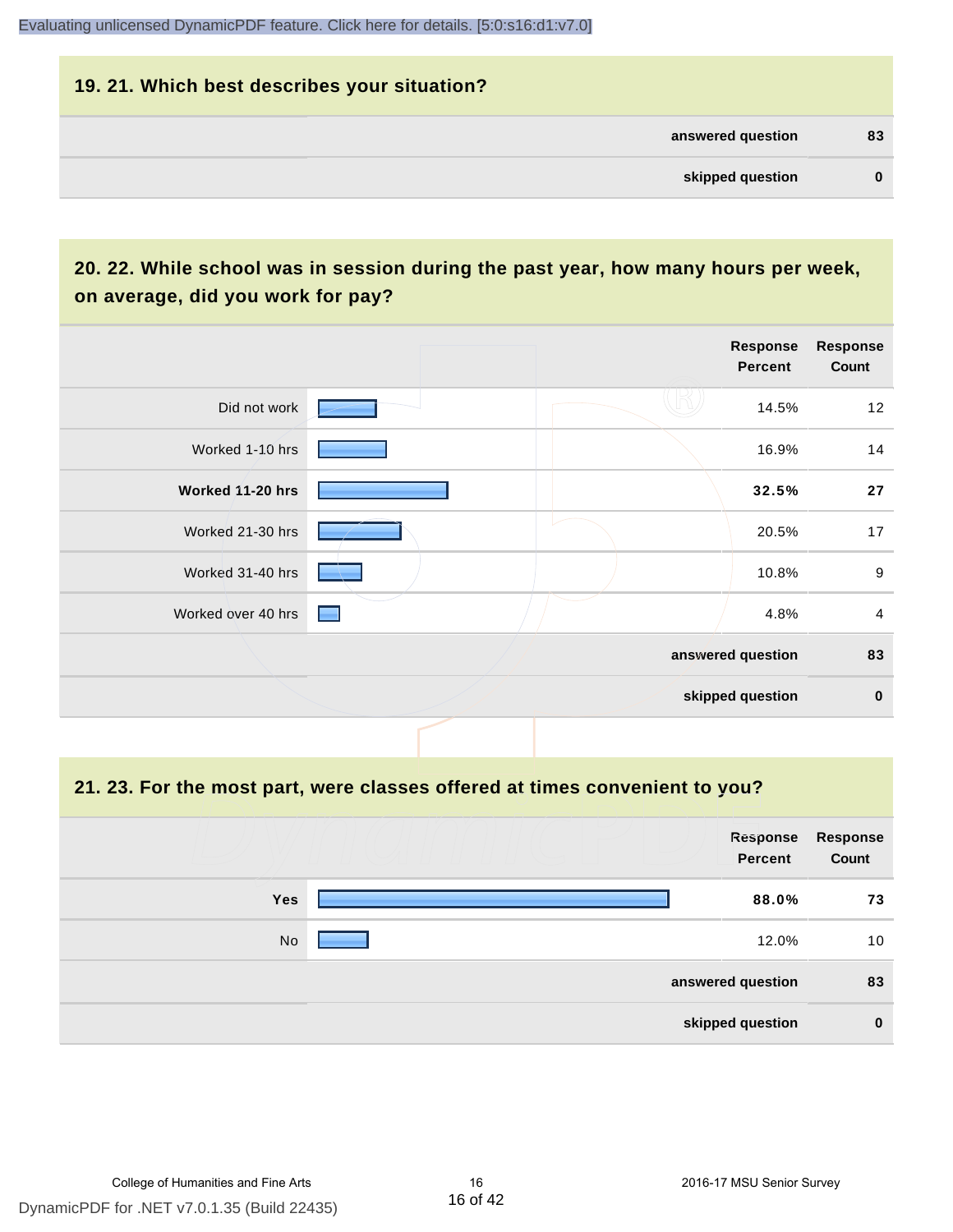# **19. 21. Which best describes your situation? answered question 83 skipped question 0**

# **20. 22. While school was in session during the past year, how many hours per week, on average, did you work for pay?**

|                    |                 | Response<br><b>Percent</b> | <b>Response</b><br>Count |
|--------------------|-----------------|----------------------------|--------------------------|
| Did not work       |                 | 14.5%                      | 12                       |
| Worked 1-10 hrs    |                 | 16.9%                      | 14                       |
| Worked 11-20 hrs   |                 | 32.5%                      | 27                       |
| Worked 21-30 hrs   |                 | 20.5%                      | 17                       |
| Worked 31-40 hrs   |                 | 10.8%                      | $\boldsymbol{9}$         |
| Worked over 40 hrs | <b>Contract</b> | 4.8%                       | $\overline{4}$           |
|                    |                 | answered question          | 83                       |
|                    |                 | skipped question           | $\pmb{0}$                |

#### **21. 23. For the most part, were classes offered at times convenient to you?**

|            | Response<br>Percent | <b>Response</b><br>Count |
|------------|---------------------|--------------------------|
| <b>Yes</b> | 88.0%               | 73                       |
| No         | 12.0%               | 10                       |
|            | answered question   | 83                       |
|            | skipped question    | $\bf{0}$                 |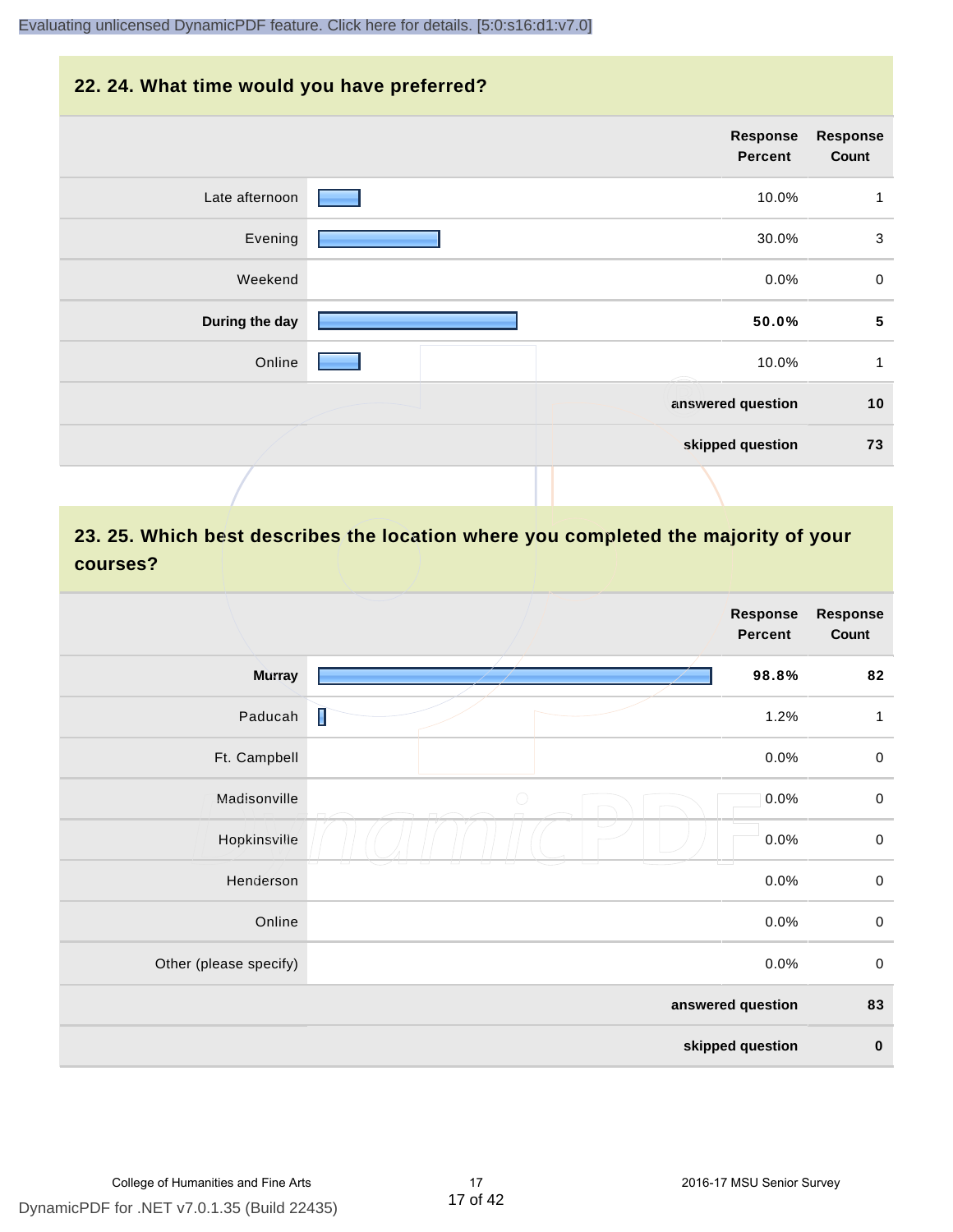#### **22. 24. What time would you have preferred?**

|                | Response<br>Percent | <b>Response</b><br>Count |
|----------------|---------------------|--------------------------|
| Late afternoon | 10.0%               | 1                        |
| Evening        | 30.0%               | $\sqrt{3}$               |
| Weekend        | 0.0%                | $\pmb{0}$                |
| During the day | 50.0%               | $\sqrt{5}$               |
| Online         | 10.0%               | $\mathbf{1}$             |
|                | answered question   | 10                       |
|                | skipped question    | 73                       |
|                |                     |                          |

# **23. 25. Which best describes the location where you completed the majority of your courses?**

|                        |            | <b>Response</b><br>Percent | <b>Response</b><br>Count |
|------------------------|------------|----------------------------|--------------------------|
| <b>Murray</b>          |            | 98.8%                      | 82                       |
| Paducah                | I          | 1.2%                       | 1                        |
| Ft. Campbell           |            | 0.0%                       | $\mathbf 0$              |
| Madisonville           | $\bigcirc$ | 0.0%                       | $\mathbf 0$              |
| Hopkinsville           |            | 0.0%                       | $\pmb{0}$                |
| Henderson              |            | 0.0%                       | $\,0\,$                  |
| Online                 |            | 0.0%                       | $\,0\,$                  |
| Other (please specify) |            | 0.0%                       | $\pmb{0}$                |
|                        |            | answered question          | 83                       |
|                        |            | skipped question           | $\pmb{0}$                |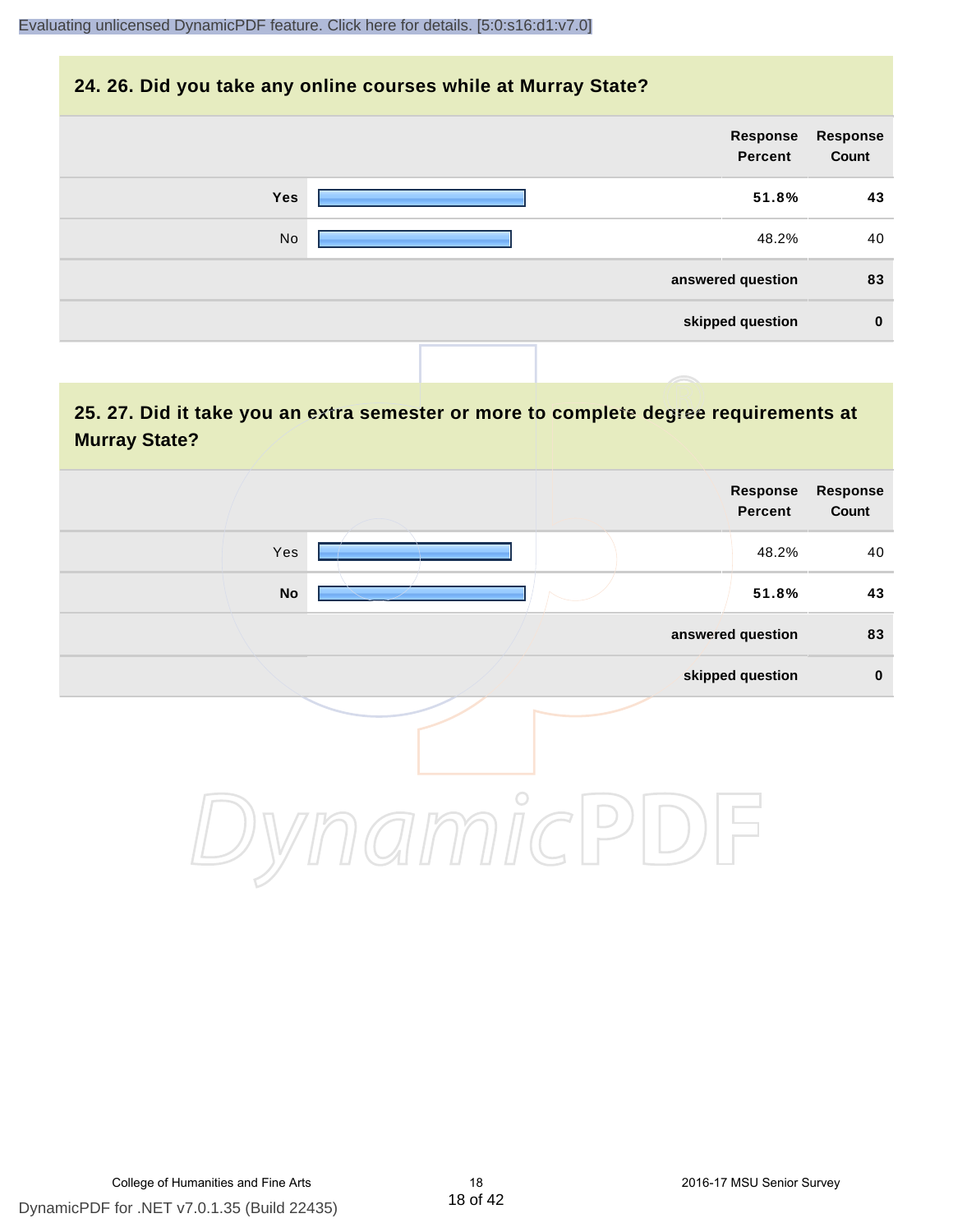#### **24. 26. Did you take any online courses while at Murray State?**

| Response<br>Count | Response<br>Percent |     |
|-------------------|---------------------|-----|
| 43                | 51.8%               | Yes |
| 40                | 48.2%               | No  |
| 83                | answered question   |     |
| $\bf{0}$          | skipped question    |     |
|                   |                     |     |

# **25. 27. Did it take you an extra semester or more to complete degree requirements at Murray State?**

| <b>Response</b><br>Count | Response<br>Percent |         |               |  |
|--------------------------|---------------------|---------|---------------|--|
| 40                       | 48.2%               |         | Yes           |  |
| 43                       | 51.8%               |         | $\mathsf{No}$ |  |
| 83                       | answered question   |         |               |  |
| $\pmb{0}$                | skipped question    |         |               |  |
|                          |                     | $\circ$ |               |  |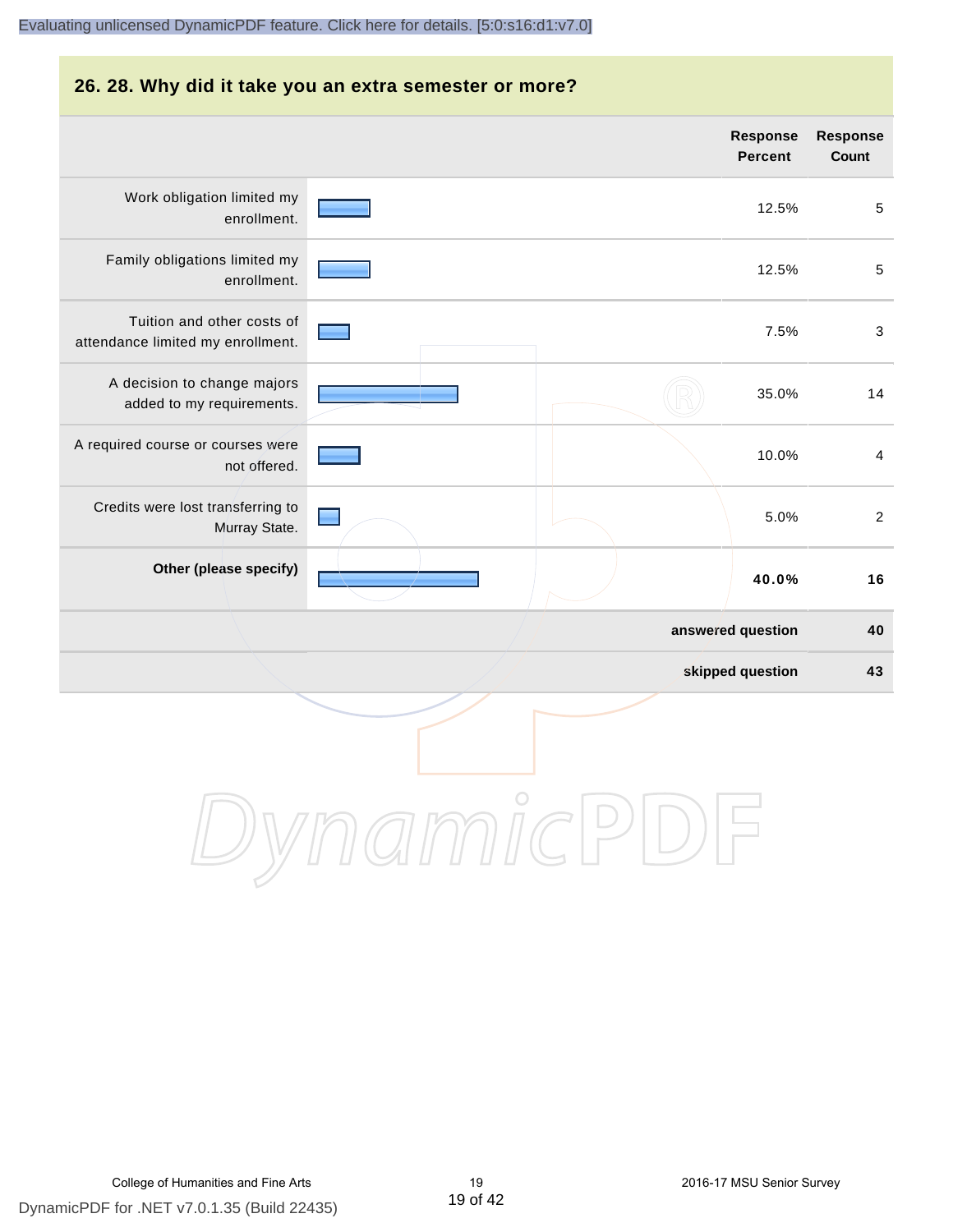#### **26. 28. Why did it take you an extra semester or more? answered question 40 Response Percent Response Count** Work obligation limited my enrollment. 12.5% 5 Family obligations limited my enrollment. 12.5% 5 Tuition and other costs of attendance limited my enrollment. 7.5% 3 A decision to change majors added to my requirements. 35.0% 14 A required course or courses were not offered. 10.0% 4 Credits were lost transferring to Murray State. 5.0% 2 **Other (please specify) 40.0% 16** [Evaluating unlicensed DynamicPDF feature. Click here for details. \[5:0:s16:d1:v7.0\]](http://www.DynamicPDF.com/dplic/?d=T(EuYmIrxFe0nIre)

**skipped question 43**

DynamicPDI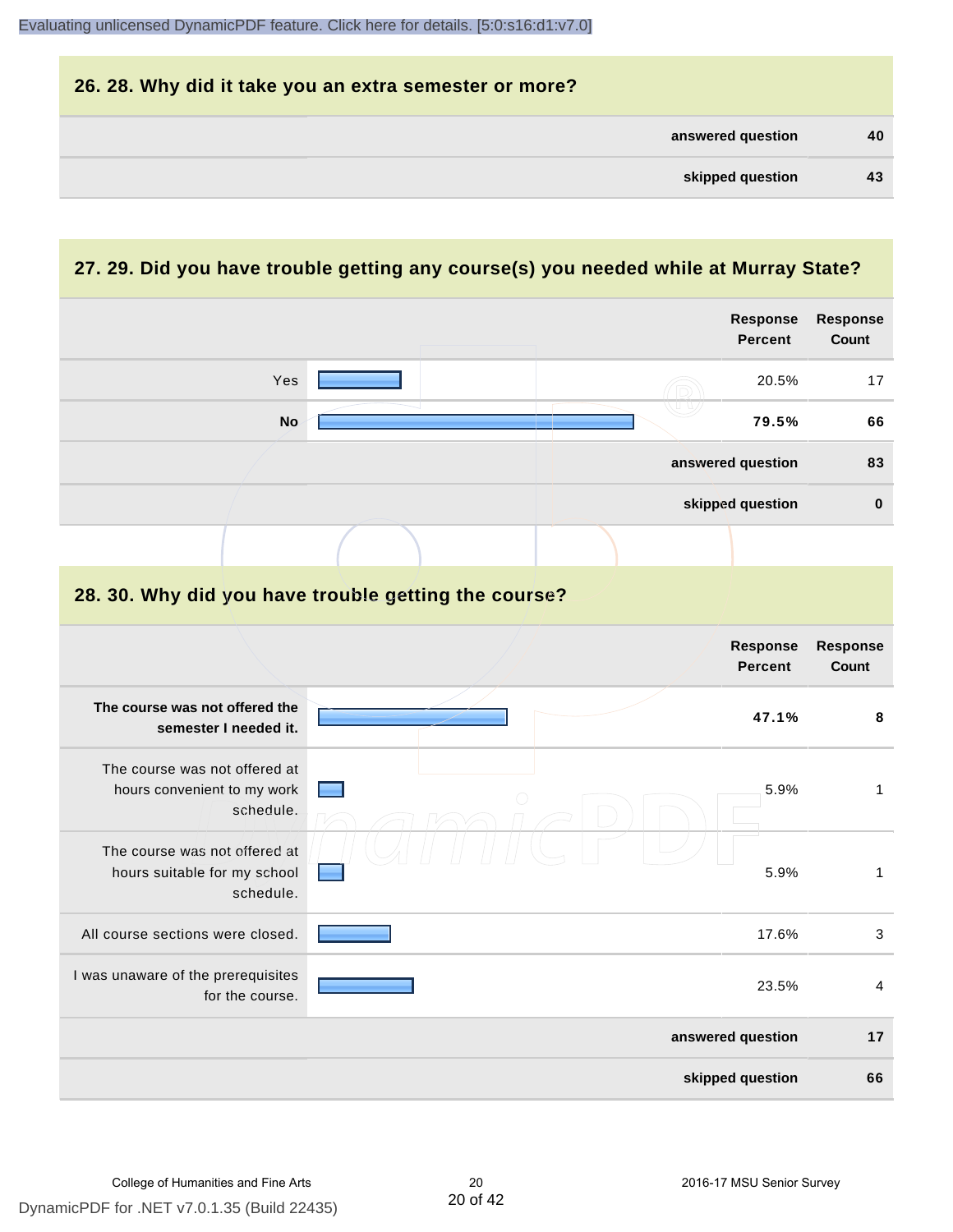

#### **27. 29. Did you have trouble getting any course(s) you needed while at Murray State?**

|                                                                            |                                                      | <b>Response</b><br><b>Percent</b> | <b>Response</b><br>Count  |
|----------------------------------------------------------------------------|------------------------------------------------------|-----------------------------------|---------------------------|
| Yes                                                                        |                                                      | 20.5%                             | 17                        |
| <b>No</b>                                                                  |                                                      | 79.5%                             | 66                        |
|                                                                            |                                                      | answered question                 | 83                        |
|                                                                            |                                                      | skipped question                  | $\bf{0}$                  |
|                                                                            |                                                      |                                   |                           |
|                                                                            | 28. 30. Why did you have trouble getting the course? |                                   |                           |
|                                                                            |                                                      | <b>Response</b><br><b>Percent</b> | Response<br>Count         |
| The course was not offered the<br>semester I needed it.                    |                                                      | 47.1%                             | 8                         |
| The course was not offered at<br>hours convenient to my work<br>schedule.  |                                                      | 5.9%                              | $\mathbf{1}$              |
| The course was not offered at<br>hours suitable for my school<br>schedule. |                                                      | 5.9%                              | $\mathbf{1}$              |
| All course sections were closed.                                           |                                                      | 17.6%                             | $\ensuremath{\mathsf{3}}$ |
| I was unaware of the prerequisites<br>for the course.                      |                                                      | 23.5%                             | 4                         |
|                                                                            |                                                      | answered question                 | 17                        |
|                                                                            |                                                      | skipped question                  | 66                        |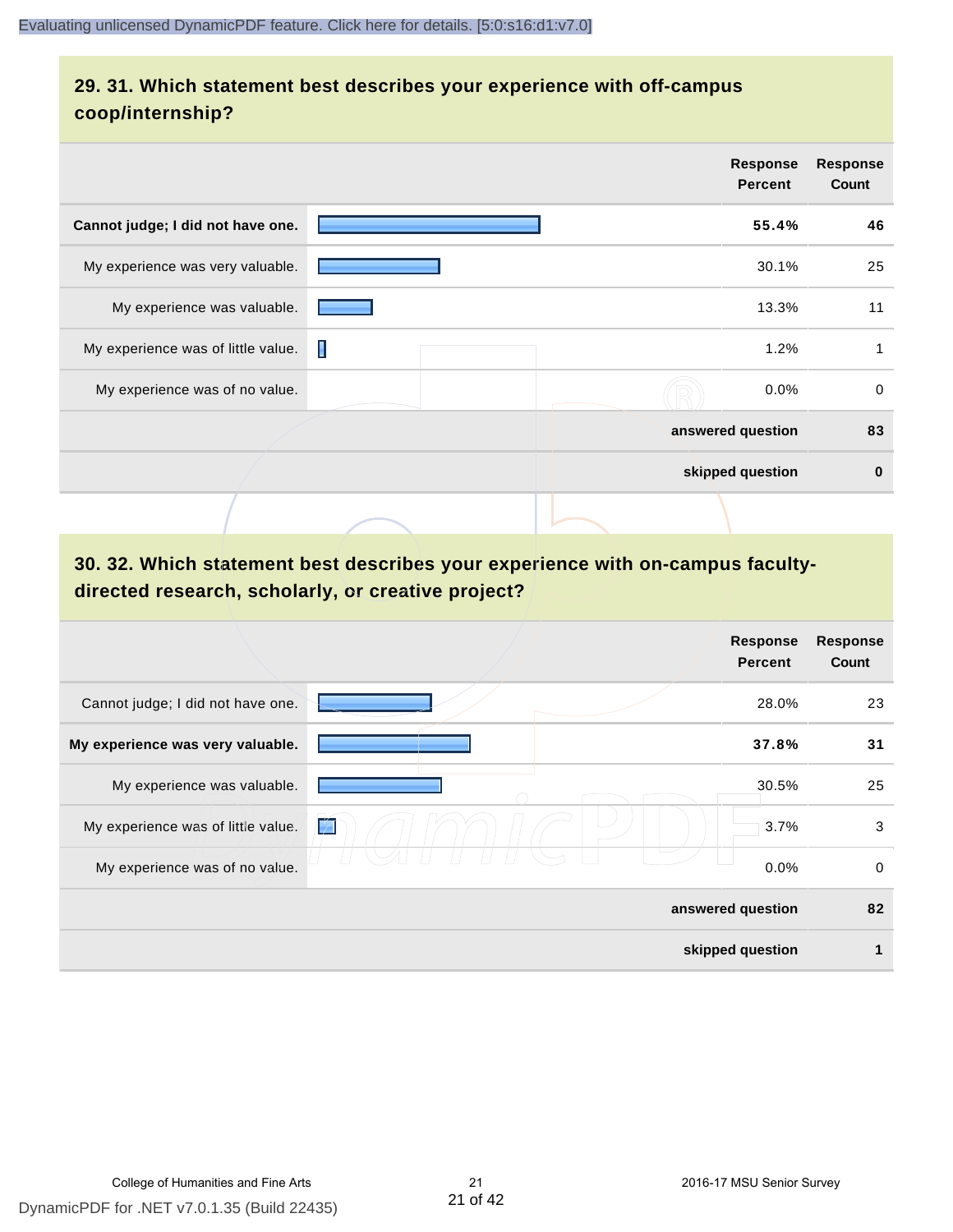# **29. 31. Which statement best describes your experience with off-campus coop/internship?**

|                                    |   | Response<br><b>Percent</b> | <b>Response</b><br>Count |
|------------------------------------|---|----------------------------|--------------------------|
| Cannot judge; I did not have one.  |   | 55.4%                      | 46                       |
| My experience was very valuable.   |   | 30.1%                      | 25                       |
| My experience was valuable.        |   | 13.3%                      | 11                       |
| My experience was of little value. | П | 1.2%                       |                          |
| My experience was of no value.     |   | 0.0%                       | 0                        |
|                                    |   | answered question          | 83                       |
|                                    |   | skipped question           | $\bf{0}$                 |
|                                    |   |                            |                          |

# **30. 32. Which statement best describes your experience with on-campus facultydirected research, scholarly, or creative project?**

|                                    | <b>Response</b><br><b>Percent</b> | <b>Response</b><br>Count |
|------------------------------------|-----------------------------------|--------------------------|
| Cannot judge; I did not have one.  | 28.0%                             | 23                       |
| My experience was very valuable.   | 37.8%                             | 31                       |
| My experience was valuable.        | 30.5%                             | 25                       |
| My experience was of little value. | É<br>3.7%                         | 3                        |
| My experience was of no value.     | 0.0%                              | 0                        |
|                                    | answered question                 | 82                       |
|                                    | skipped question                  |                          |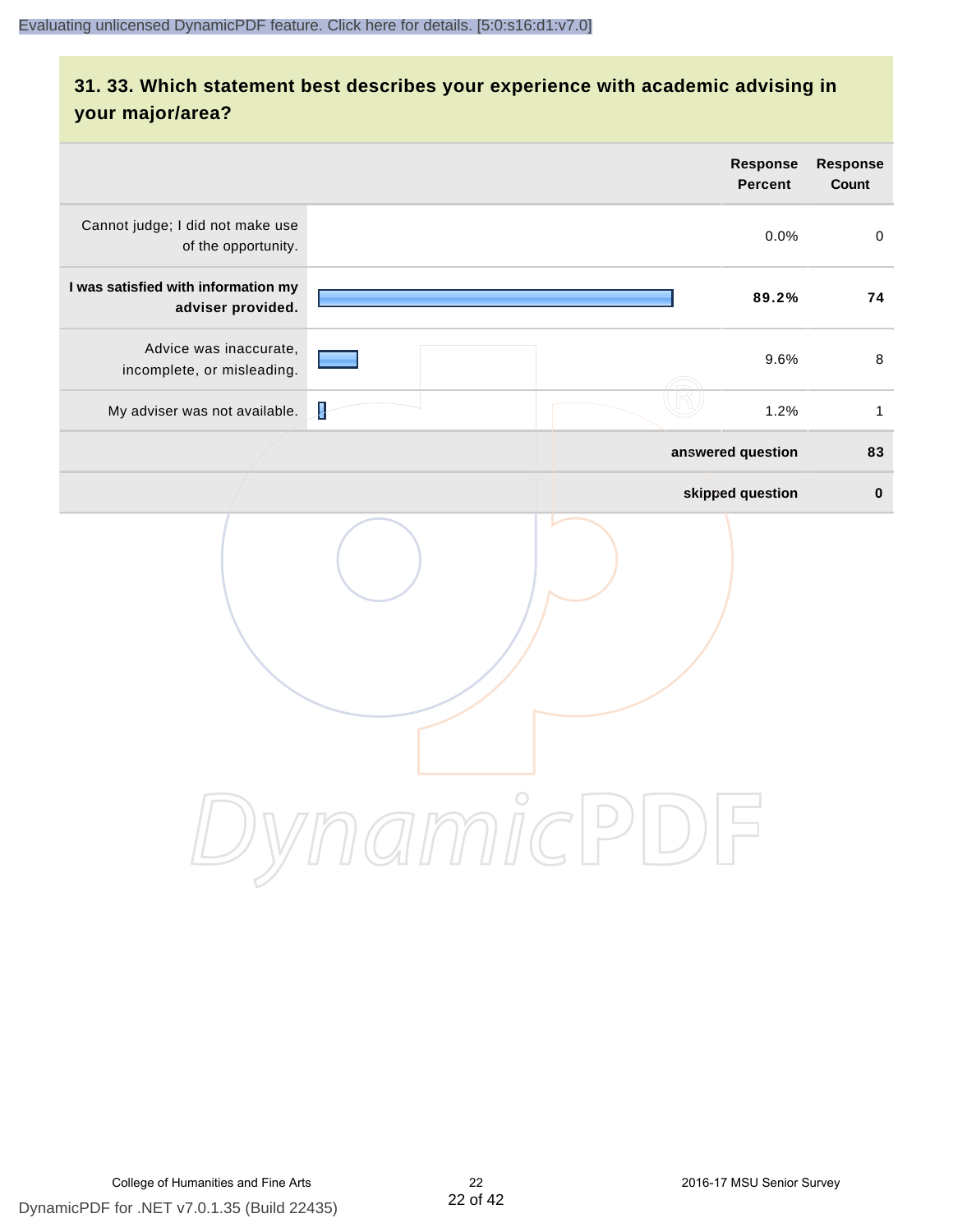# **31. 33. Which statement best describes your experience with academic advising in your major/area?**

|                                                          |                 | Response<br><b>Percent</b> | <b>Response</b><br>Count |
|----------------------------------------------------------|-----------------|----------------------------|--------------------------|
| Cannot judge; I did not make use<br>of the opportunity.  |                 | 0.0%                       | $\mathsf{O}$             |
| I was satisfied with information my<br>adviser provided. |                 | 89.2%                      | 74                       |
| Advice was inaccurate,<br>incomplete, or misleading.     |                 | 9.6%                       | $\,8\,$                  |
| My adviser was not available.                            | ł               | 1.2%                       | $\mathbf{1}$             |
|                                                          |                 | answered question          | 83                       |
|                                                          |                 | skipped question           | $\pmb{0}$                |
|                                                          | amicl<br>$\geq$ |                            |                          |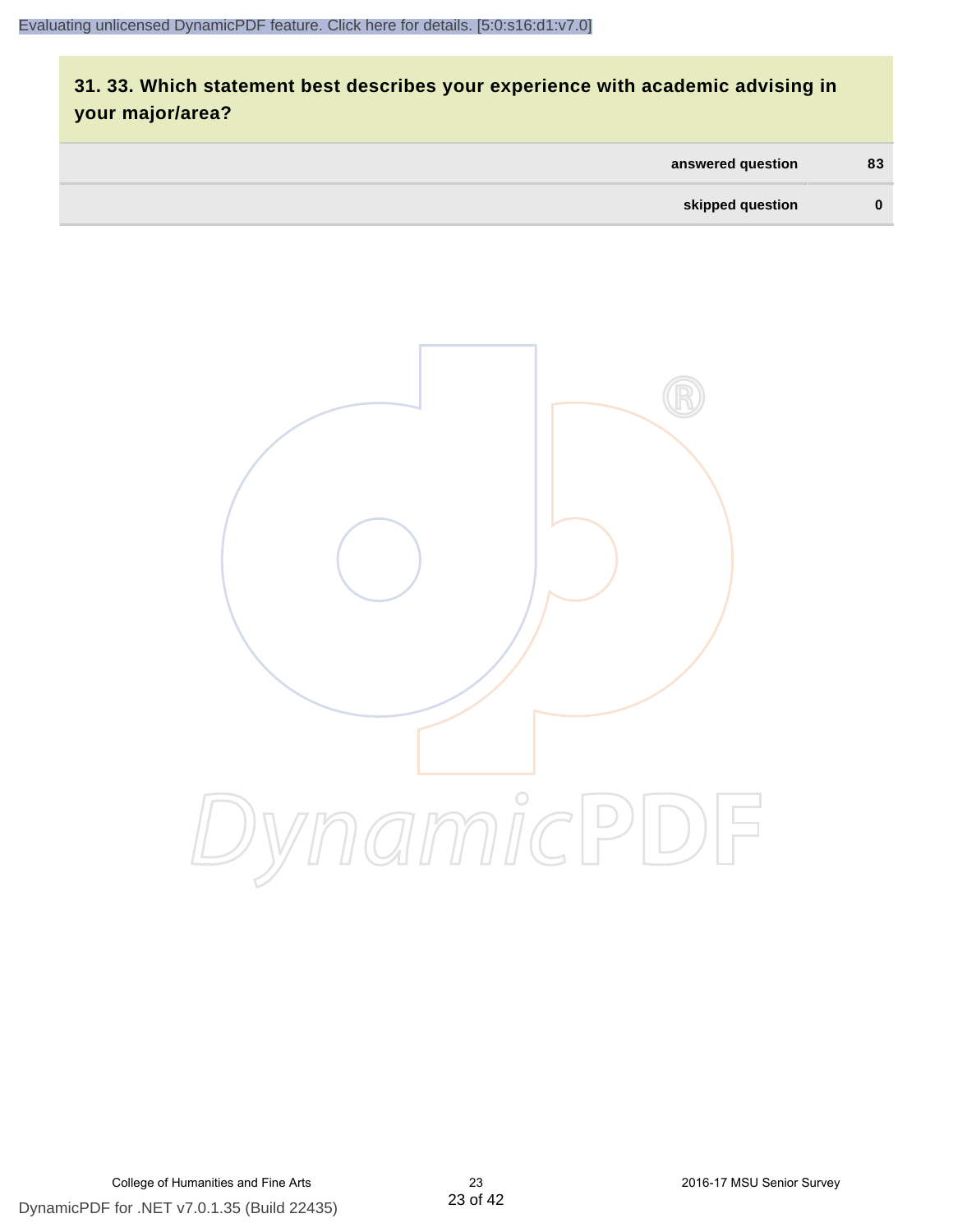# **31. 33. Which statement best describes your experience with academic advising in your major/area?**

| answered question | 83       |
|-------------------|----------|
| skipped question  | $\bf{0}$ |

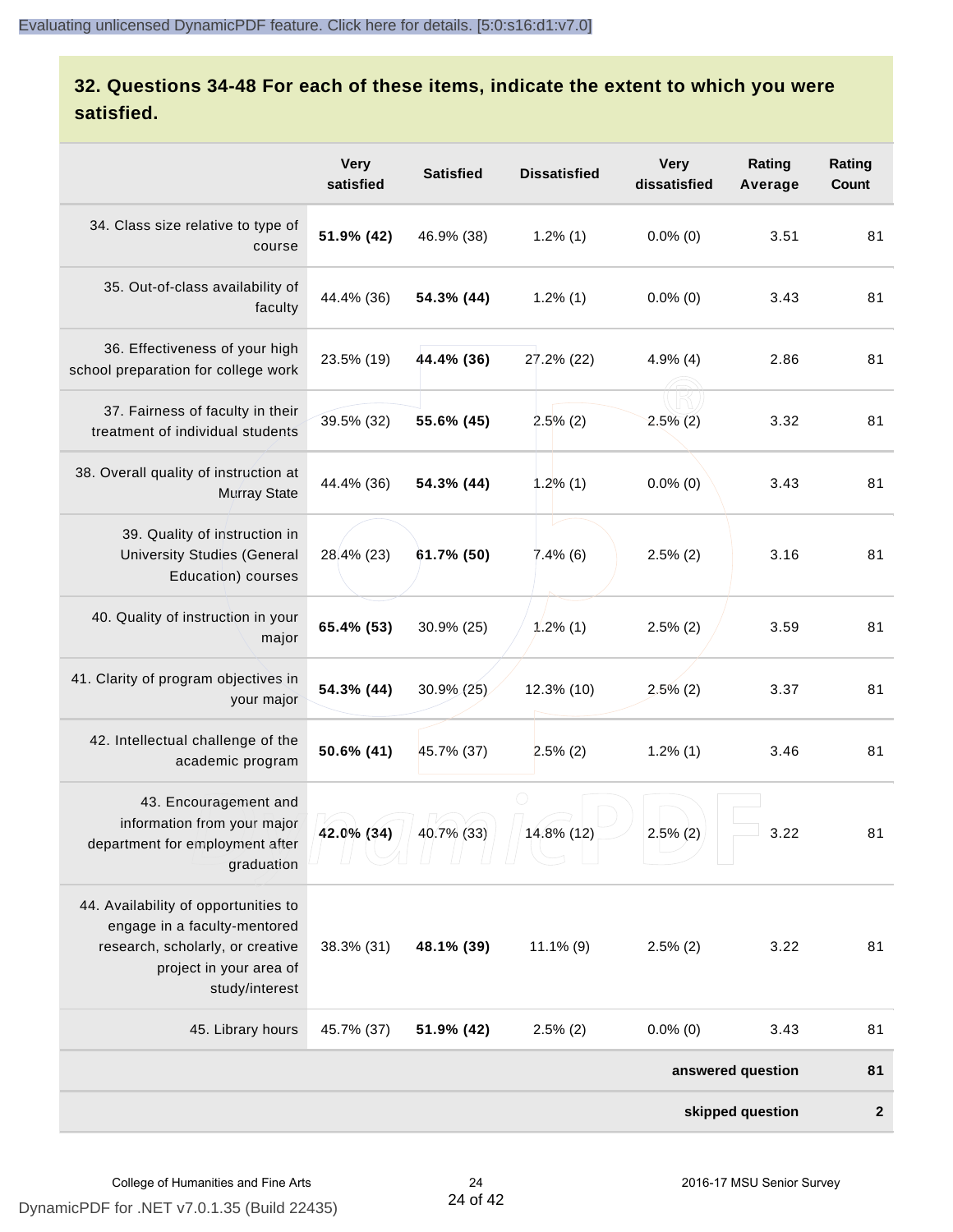# **32. Questions 34-48 For each of these items, indicate the extent to which you were satisfied.**

|                                                                                                                                                       | <b>Very</b><br>satisfied | <b>Satisfied</b> | <b>Dissatisfied</b> | <b>Very</b><br>dissatisfied | Rating<br>Average | Rating<br>Count  |
|-------------------------------------------------------------------------------------------------------------------------------------------------------|--------------------------|------------------|---------------------|-----------------------------|-------------------|------------------|
| 34. Class size relative to type of<br>course                                                                                                          | 51.9% (42)               | 46.9% (38)       | $1.2\%$ (1)         | $0.0\%$ (0)                 | 3.51              | 81               |
| 35. Out-of-class availability of<br>faculty                                                                                                           | 44.4% (36)               | 54.3% (44)       | $1.2\%$ (1)         | $0.0\%$ (0)                 | 3.43              | 81               |
| 36. Effectiveness of your high<br>school preparation for college work                                                                                 | 23.5% (19)               | 44.4% (36)       | 27.2% (22)          | $4.9\%$ (4)                 | 2.86              | 81               |
| 37. Fairness of faculty in their<br>treatment of individual students                                                                                  | 39.5% (32)               | 55.6% (45)       | $2.5\%$ (2)         | $2.5\%(2)$                  | 3.32              | 81               |
| 38. Overall quality of instruction at<br><b>Murray State</b>                                                                                          | 44.4% (36)               | 54.3% (44)       | 1.2%(1)             | $0.0\%$ (0)                 | 3.43              | 81               |
| 39. Quality of instruction in<br><b>University Studies (General</b><br>Education) courses                                                             | 28.4% (23)               | 61.7% (50)       | $7.4\%$ (6)         | $2.5\%$ (2)                 | 3.16              | 81               |
| 40. Quality of instruction in your<br>major                                                                                                           | 65.4% (53)               | 30.9% (25)       | $1.2\%$ (1)         | $2.5\%$ (2)                 | 3.59              | 81               |
| 41. Clarity of program objectives in<br>your major                                                                                                    | 54.3% (44)               | 30.9% (25)       | 12.3% (10)          | $2.5\%$ (2)                 | 3.37              | 81               |
| 42. Intellectual challenge of the<br>academic program                                                                                                 | 50.6% (41)               | 45.7% (37)       | $2.5\%$ (2)         | $1.2\%$ (1)                 | 3.46              | 81               |
| 43. Encouragement and<br>information from your major<br>department for employment after<br>graduation                                                 | 42.0% (34)               | 40.7% (33)       | 14.8% (12)          | $2.5\%$ (2)                 | 3.22              | 81               |
| 44. Availability of opportunities to<br>engage in a faculty-mentored<br>research, scholarly, or creative<br>project in your area of<br>study/interest | 38.3% (31)               | 48.1% (39)       | $11.1\%$ (9)        | $2.5\%$ (2)                 | 3.22              | 81               |
| 45. Library hours                                                                                                                                     | 45.7% (37)               | 51.9% (42)       | $2.5\%$ (2)         | $0.0\%$ (0)                 | 3.43              | 81               |
|                                                                                                                                                       |                          |                  |                     |                             | answered question | 81               |
|                                                                                                                                                       |                          |                  |                     |                             | skipped question  | $\boldsymbol{2}$ |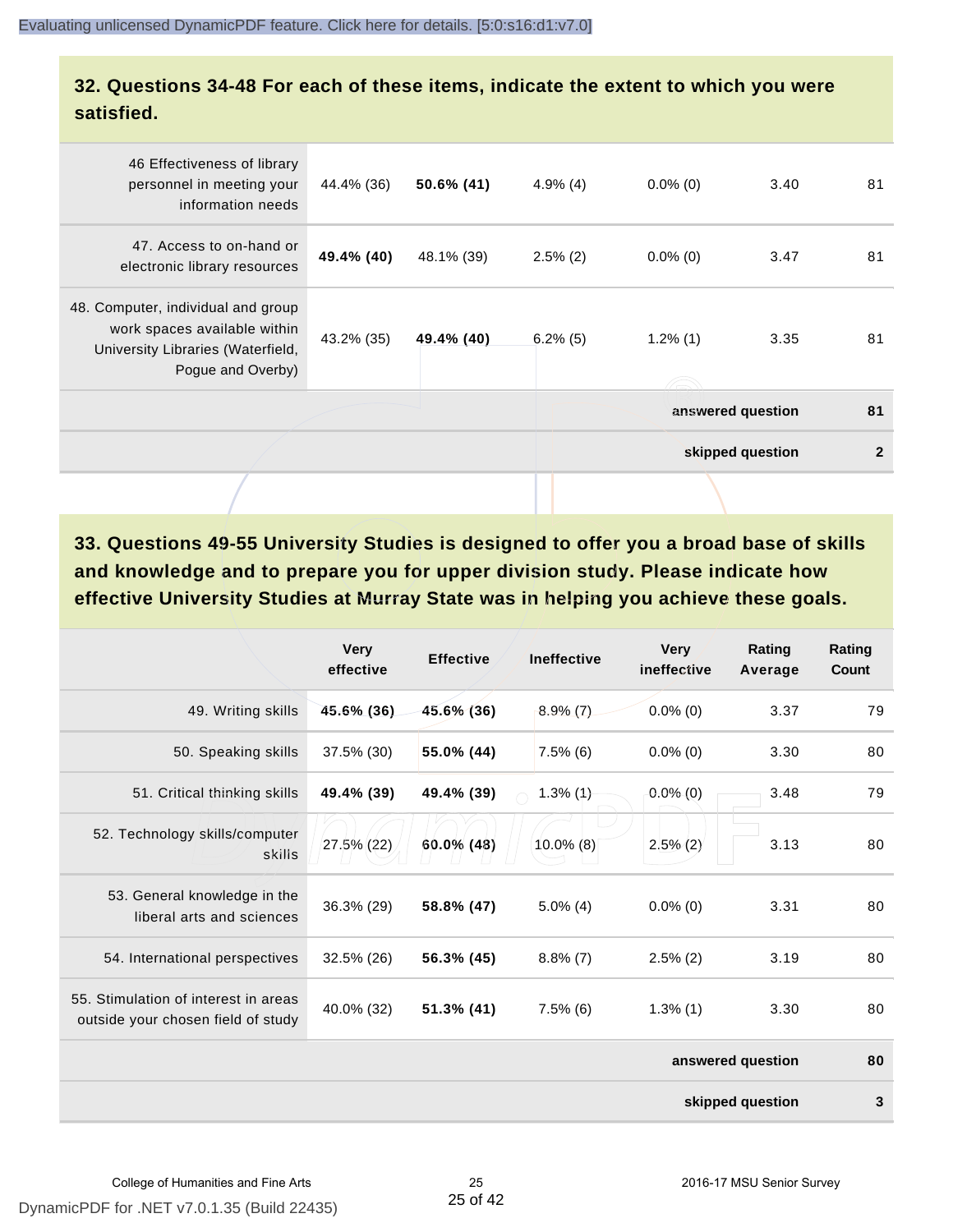#### **32. Questions 34-48 For each of these items, indicate the extent to which you were satisfied.**

| 46 Effectiveness of library<br>personnel in meeting your<br>information needs                                                | 44.4% (36) | 50.6% (41) | $4.9\%$ (4) | $0.0\%$ (0) | 3.40              | 81           |
|------------------------------------------------------------------------------------------------------------------------------|------------|------------|-------------|-------------|-------------------|--------------|
| 47. Access to on-hand or<br>electronic library resources                                                                     | 49.4% (40) | 48.1% (39) | $2.5\%$ (2) | $0.0\%$ (0) | 3.47              | 81           |
| 48. Computer, individual and group<br>work spaces available within<br>University Libraries (Waterfield,<br>Pogue and Overby) | 43.2% (35) | 49.4% (40) | $6.2\%$ (5) | $1.2\%$ (1) | 3.35              | 81           |
|                                                                                                                              |            |            |             |             | answered question | 81           |
|                                                                                                                              |            |            |             |             | skipped question  | $\mathbf{2}$ |
|                                                                                                                              |            |            |             |             |                   |              |

**33. Questions 49-55 University Studies is designed to offer you a broad base of skills and knowledge and to prepare you for upper division study. Please indicate how effective University Studies at Murray State was in helping you achieve these goals.**

|                                                                            | <b>Very</b><br>effective | <b>Effective</b> | <b>Ineffective</b> | <b>Very</b><br>ineffective | Rating<br>Average | Rating<br>Count |
|----------------------------------------------------------------------------|--------------------------|------------------|--------------------|----------------------------|-------------------|-----------------|
| 49. Writing skills                                                         | 45.6% (36)               | 45.6% (36)       | $8.9\%$ (7)        | $0.0\%$ (0)                | 3.37              | 79              |
| 50. Speaking skills                                                        | 37.5% (30)               | 55.0% (44)       | $7.5\%$ (6)        | $0.0\%$ (0)                | 3.30              | 80              |
| 51. Critical thinking skills                                               | 49.4% (39)               | 49.4% (39)       | $1.3\%$ (1)        | $0.0\%$ (0)                | 3.48              | 79              |
| 52. Technology skills/computer<br>skills                                   | 27.5% (22)               | 60.0% (48)       | $10.0\%$ (8)       | $2.5\%$ (2)                | 3.13              | 80              |
| 53. General knowledge in the<br>liberal arts and sciences                  | 36.3% (29)               | 58.8% (47)       | $5.0\%$ (4)        | $0.0\%$ (0)                | 3.31              | 80              |
| 54. International perspectives                                             | 32.5% (26)               | 56.3% (45)       | $8.8\%$ (7)        | $2.5\%$ (2)                | 3.19              | 80              |
| 55. Stimulation of interest in areas<br>outside your chosen field of study | 40.0% (32)               | 51.3% (41)       | $7.5\%$ (6)        | $1.3\%$ (1)                | 3.30              | 80              |
|                                                                            |                          |                  |                    |                            | answered question | 80              |
|                                                                            |                          |                  |                    |                            | skipped question  | 3               |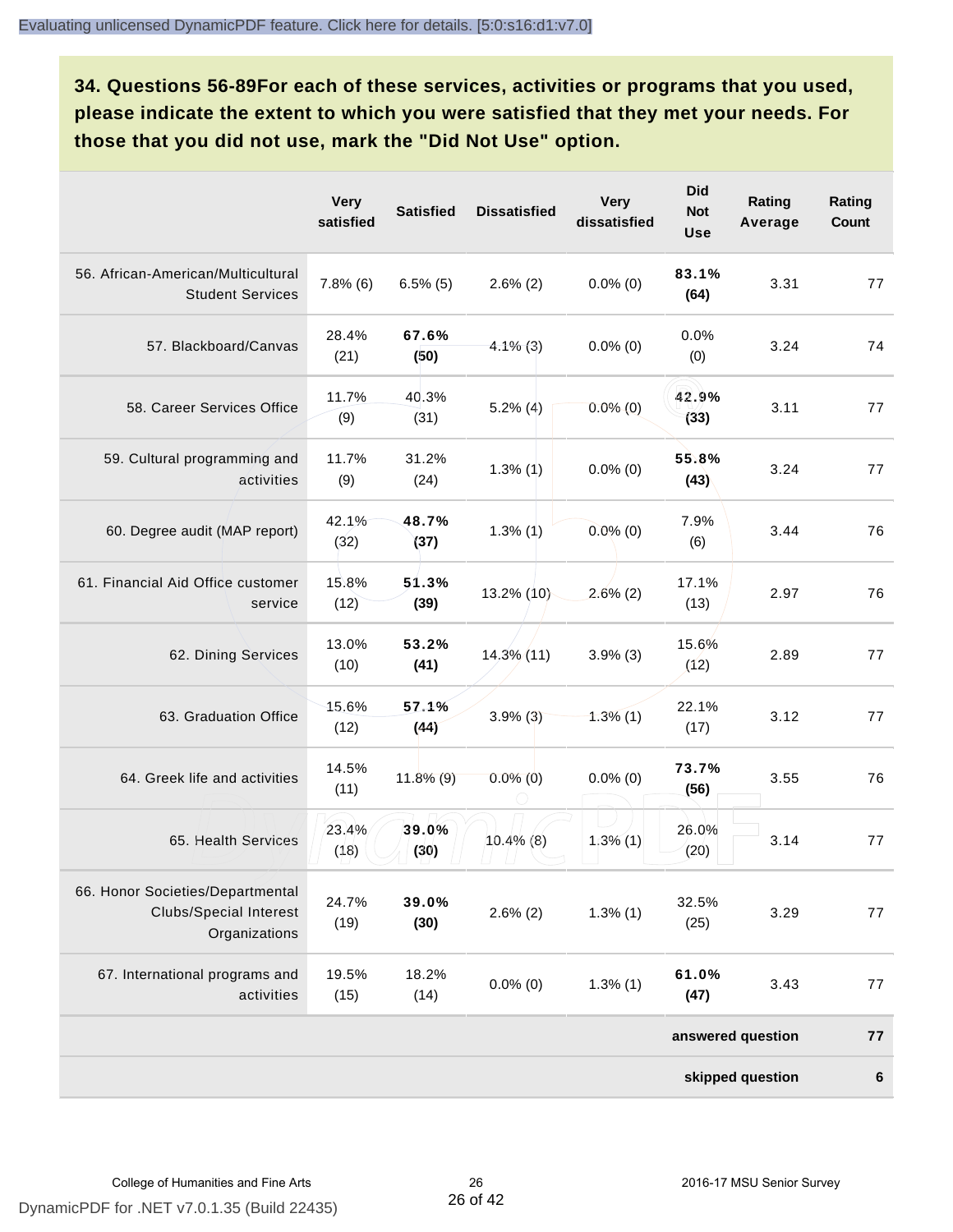**34. Questions 56-89For each of these services, activities or programs that you used, please indicate the extent to which you were satisfied that they met your needs. For those that you did not use, mark the "Did Not Use" option.**

|                                                                                    | <b>Very</b><br>satisfied | <b>Satisfied</b> | <b>Dissatisfied</b> | <b>Very</b><br>dissatisfied | <b>Did</b><br><b>Not</b><br><b>Use</b> | Rating<br>Average | Rating<br>Count |
|------------------------------------------------------------------------------------|--------------------------|------------------|---------------------|-----------------------------|----------------------------------------|-------------------|-----------------|
| 56. African-American/Multicultural<br><b>Student Services</b>                      | $7.8\%$ (6)              | $6.5\%$ (5)      | $2.6\%$ (2)         | $0.0\%$ (0)                 | 83.1%<br>(64)                          | 3.31              | 77              |
| 57. Blackboard/Canvas                                                              | 28.4%<br>(21)            | 67.6%<br>(50)    | $4.1\%$ (3)         | $0.0\%$ (0)                 | 0.0%<br>(0)                            | 3.24              | 74              |
| 58. Career Services Office                                                         | 11.7%<br>(9)             | 40.3%<br>(31)    | $5.2\%$ (4)         | $0.0\%$ (0)                 | 42.9%<br>(33)                          | 3.11              | 77              |
| 59. Cultural programming and<br>activities                                         | 11.7%<br>(9)             | 31.2%<br>(24)    | $1.3\%$ (1)         | $0.0\%$ (0)                 | 55.8%<br>(43)                          | 3.24              | 77              |
| 60. Degree audit (MAP report)                                                      | 42.1%<br>(32)            | 48.7%<br>(37)    | 1.3%(1)             | $0.0\%$ (0)                 | 7.9%<br>(6)                            | 3.44              | 76              |
| 61. Financial Aid Office customer<br>service                                       | 15.8%<br>(12)            | 51.3%<br>(39)    | 13.2% (10)          | $2.6\%$ (2)                 | 17.1%<br>(13)                          | 2.97              | 76              |
| 62. Dining Services                                                                | 13.0%<br>(10)            | 53.2%<br>(41)    | $14,3\%$ (11)       | $3.9\%$ (3)                 | 15.6%<br>(12)                          | 2.89              | 77              |
| 63. Graduation Office                                                              | 15.6%<br>(12)            | 57.1%<br>(44)    | $3.9\%$ (3)         | $1.3\%$ (1)                 | 22.1%<br>(17)                          | 3.12              | 77              |
| 64. Greek life and activities                                                      | 14.5%<br>(11)            | $11.8\%$ (9)     | $0.0\%$ (0)         | $0.0\%$ (0)                 | 73.7%<br>(56)                          | 3.55              | 76              |
| 65. Health Services                                                                | 23.4%<br>(18)            | 39.0%<br>(30)    | $10.4\%$ (8)        | $1,3\%$ (1)                 | 26.0%<br>(20)                          | 3.14              | 77              |
| 66. Honor Societies/Departmental<br><b>Clubs/Special Interest</b><br>Organizations | 24.7%<br>(19)            | 39.0%<br>(30)    | $2.6\%$ (2)         | $1.3\%$ (1)                 | 32.5%<br>(25)                          | 3.29              | 77              |
| 67. International programs and<br>activities                                       | 19.5%<br>(15)            | 18.2%<br>(14)    | $0.0\%$ (0)         | $1.3\%$ (1)                 | 61.0%<br>(47)                          | 3.43              | 77              |
|                                                                                    |                          |                  |                     |                             |                                        | answered question | 77              |
|                                                                                    |                          |                  |                     |                             |                                        | skipped question  | 6               |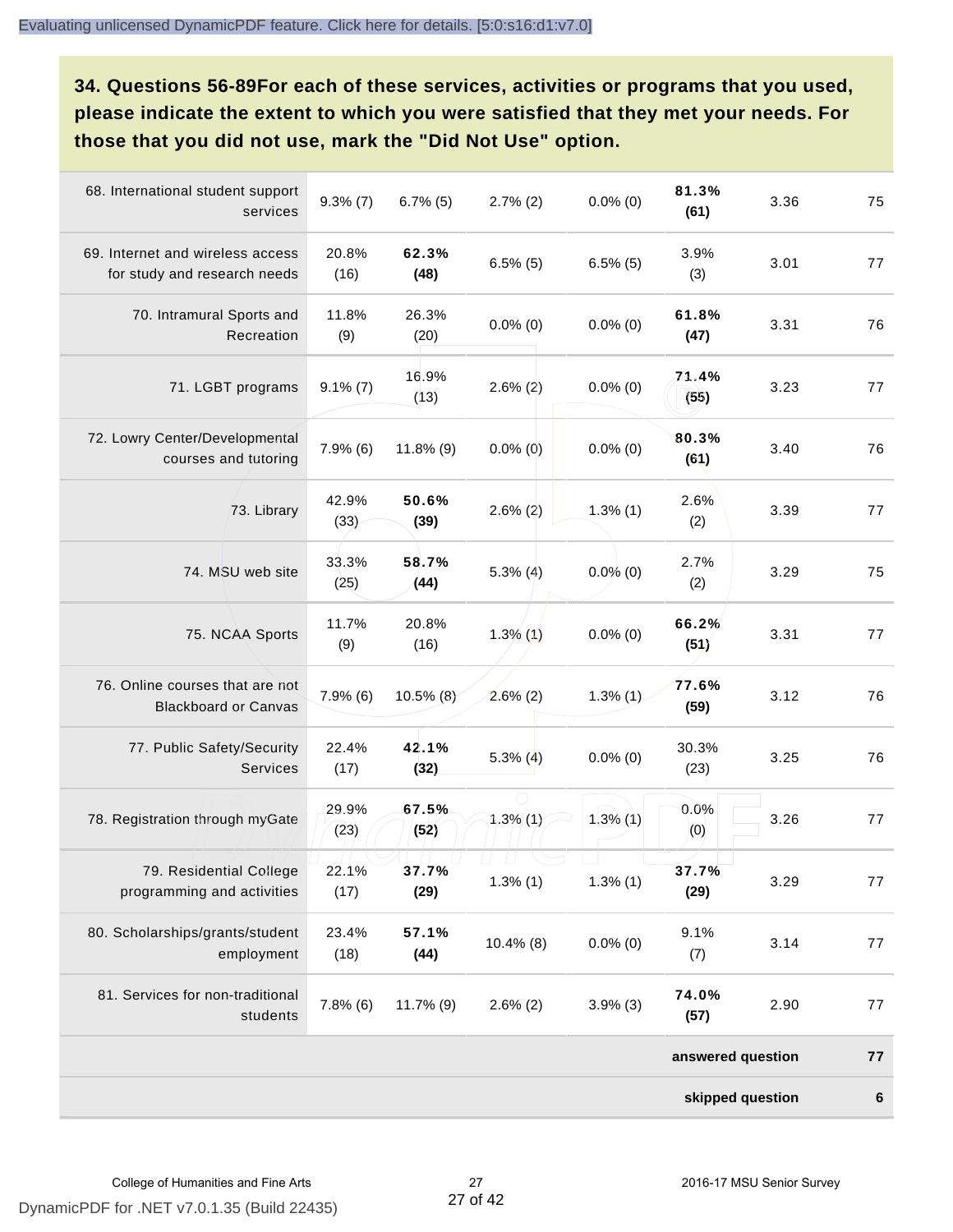**34. Questions 56-89For each of these services, activities or programs that you used, please indicate the extent to which you were satisfied that they met your needs. For those that you did not use, mark the "Did Not Use" option.**

| 68. International student support<br>services                    | $9.3\%$ (7)   | $6.7\%$ (5)   | $2.7\%$ (2)   | $0.0\%$ (0) | 81.3%<br>(61)     | 3.36 | 75      |
|------------------------------------------------------------------|---------------|---------------|---------------|-------------|-------------------|------|---------|
| 69. Internet and wireless access<br>for study and research needs | 20.8%<br>(16) | 62.3%<br>(48) | $6.5\%$ (5)   | $6.5\%$ (5) | 3.9%<br>(3)       | 3.01 | 77      |
| 70. Intramural Sports and<br>Recreation                          | 11.8%<br>(9)  | 26.3%<br>(20) | $0.0\%$ (0)   | $0.0\%$ (0) | 61.8%<br>(47)     | 3.31 | 76      |
| 71. LGBT programs                                                | $9.1\% (7)$   | 16.9%<br>(13) | $2.6\%$ (2)   | $0.0\%$ (0) | 71.4%<br>(55)     | 3.23 | 77      |
| 72. Lowry Center/Developmental<br>courses and tutoring           | $7.9\%$ (6)   | 11.8% (9)     | $0.0\%$ (0)   | $0.0\%$ (0) | 80.3%<br>(61)     | 3.40 | 76      |
| 73. Library                                                      | 42.9%<br>(33) | 50.6%<br>(39) | $2.6\%$ (2)   | $1.3\%$ (1) | 2.6%<br>(2)       | 3.39 | 77      |
| 74. MSU web site                                                 | 33.3%<br>(25) | 58.7%<br>(44) | $5.3\%$ (4)   | $0.0\%$ (0) | 2.7%<br>(2)       | 3.29 | 75      |
| 75. NCAA Sports                                                  | 11.7%<br>(9)  | 20.8%<br>(16) | $1.3\%$ (1)   | $0.0\%$ (0) | 66.2%<br>(51)     | 3.31 | 77      |
| 76. Online courses that are not<br><b>Blackboard or Canvas</b>   | $7.9\%$ (6)   | 10.5% (8)     | $2.6\%$ (2)   | $1.3\%$ (1) | 77.6%<br>(59)     | 3.12 | 76      |
| 77. Public Safety/Security<br><b>Services</b>                    | 22.4%<br>(17) | 42.1%<br>(32) | $5.3\%$ (4)   | $0.0\%$ (0) | 30.3%<br>(23)     | 3.25 | 76      |
| 78. Registration through myGate                                  | 29.9%<br>(23) | 67.5%<br>(52) | $1.3\%$ (1)   | $1.3\%$ (1) | 0.0%<br>(0)       | 3.26 | 77      |
| 79. Residential College<br>programming and activities            | 22.1%<br>(17) | 37.7%<br>(29) | $1.3\%$ $(1)$ | $1.3\%$ (1) | 37.7%<br>(29)     | 3.29 | 77      |
| 80. Scholarships/grants/student<br>employment                    | 23.4%<br>(18) | 57.1%<br>(44) | $10.4\%$ (8)  | $0.0\%$ (0) | 9.1%<br>(7)       | 3.14 | 77      |
| 81. Services for non-traditional<br>students                     | $7.8\%$ (6)   | $11.7\%$ (9)  | $2.6\%$ (2)   | $3.9\%$ (3) | 74.0%<br>(57)     | 2.90 | 77      |
|                                                                  |               |               |               |             | answered question |      | 77      |
|                                                                  |               |               |               |             | skipped question  |      | $\bf 6$ |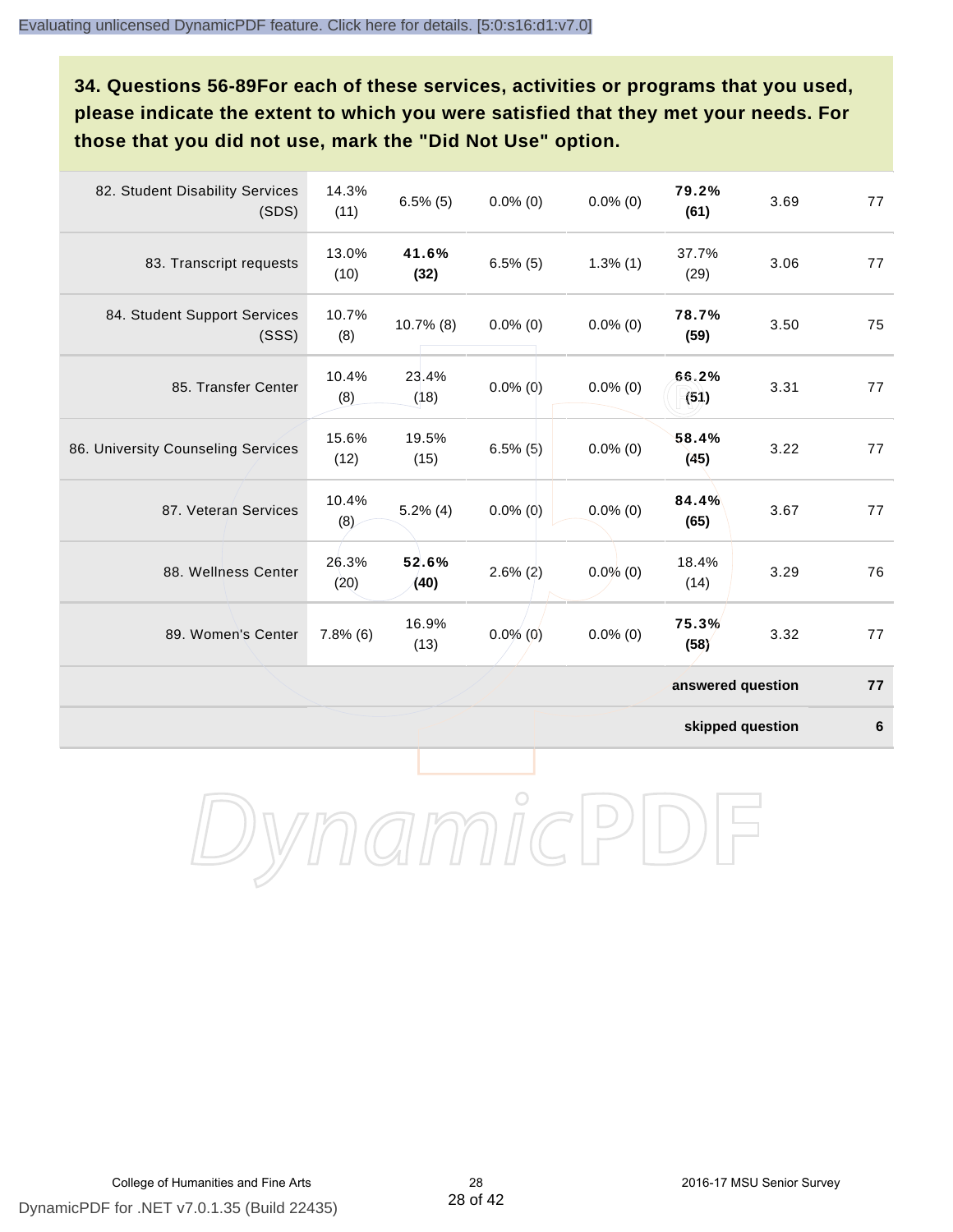**34. Questions 56-89For each of these services, activities or programs that you used, please indicate the extent to which you were satisfied that they met your needs. For those that you did not use, mark the "Did Not Use" option.**

| 82. Student Disability Services<br>(SDS) | 14.3%<br>(11) | $6.5\%$ (5)   | $0.0\%$ (0) | $0.0\%$ (0) | 79.2%<br>(61)     | 3.69 | 77 |
|------------------------------------------|---------------|---------------|-------------|-------------|-------------------|------|----|
| 83. Transcript requests                  | 13.0%<br>(10) | 41.6%<br>(32) | $6.5\%$ (5) | $1.3\%$ (1) | 37.7%<br>(29)     | 3.06 | 77 |
| 84. Student Support Services<br>(SSS)    | 10.7%<br>(8)  | $10.7\%$ (8)  | $0.0\%$ (0) | $0.0\%$ (0) | 78.7%<br>(59)     | 3.50 | 75 |
| 85. Transfer Center                      | 10.4%<br>(8)  | 23.4%<br>(18) | $0.0\%$ (0) | $0.0\%$ (0) | 66.2%<br>(51)     | 3.31 | 77 |
| 86. University Counseling Services       | 15.6%<br>(12) | 19.5%<br>(15) | $6.5\%$ (5) | $0.0\%$ (0) | 58.4%<br>(45)     | 3.22 | 77 |
| 87. Veteran Services                     | 10.4%<br>(8)  | $5.2\%$ (4)   | $0.0\%$ (0) | $0.0\%$ (0) | 84.4%<br>(65)     | 3.67 | 77 |
| 88. Wellness Center                      | 26.3%<br>(20) | 52.6%<br>(40) | $2.6\%$ (2) | $0.0\%$ (0) | 18.4%<br>(14)     | 3.29 | 76 |
| 89. Women's Center                       | $7.8\%$ (6)   | 16.9%<br>(13) | $0.0\%$ (0) | $0.0\%$ (0) | 75.3%<br>(58)     | 3.32 | 77 |
|                                          |               |               |             |             | answered question |      | 77 |

**skipped question 6**

DynamicPDF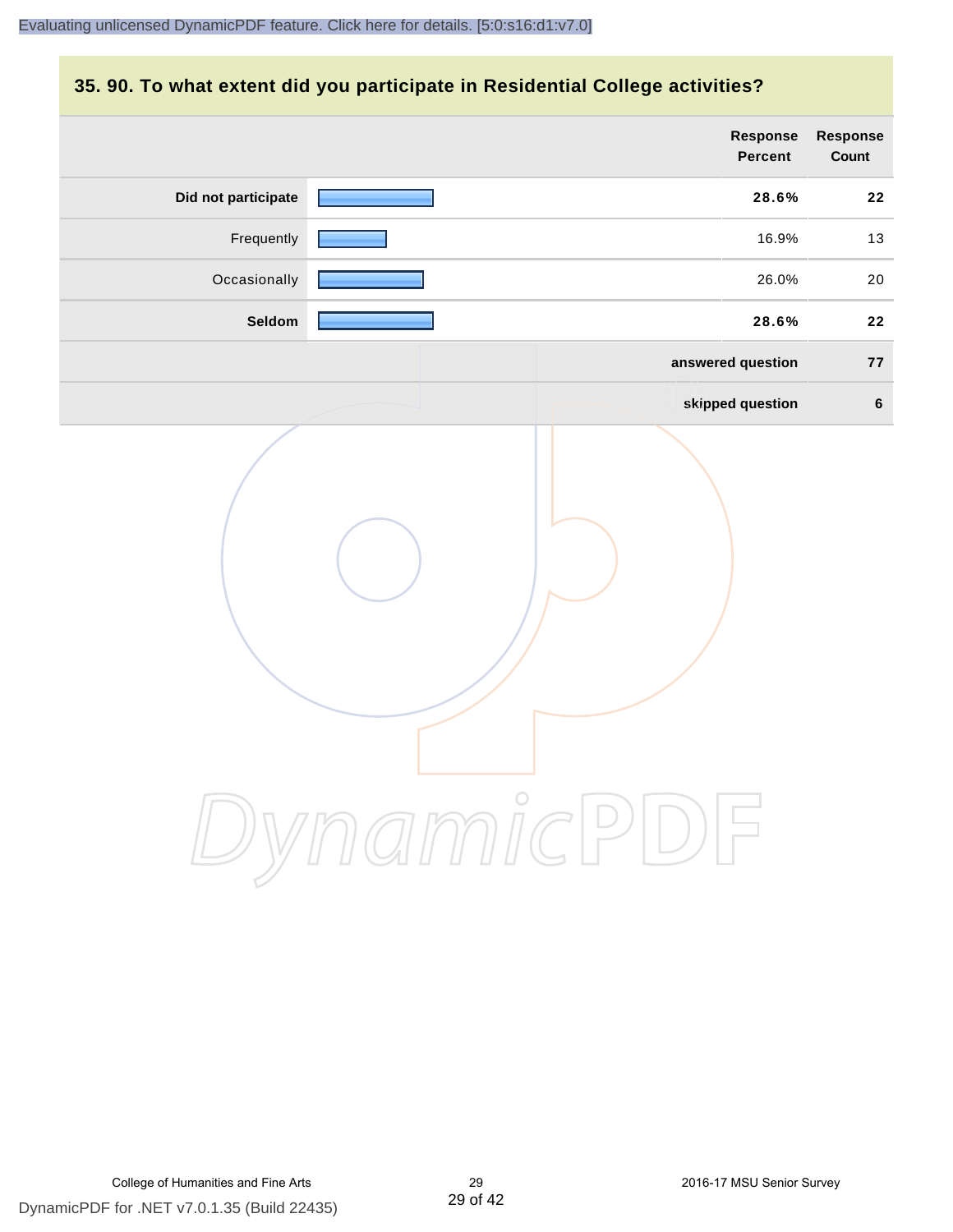#### **35. 90. To what extent did you participate in Residential College activities?**

|                     | Response<br>Percent | Response<br>Count |
|---------------------|---------------------|-------------------|
| Did not participate | 28.6%               | 22                |
| Frequently          | 16.9%               | 13                |
| Occasionally        | 26.0%               | 20                |
| Seldom              | 28.6%               | 22                |
|                     | answered question   | 77                |
|                     | skipped question    | $6\phantom{1}$    |
|                     | ynamicPD            |                   |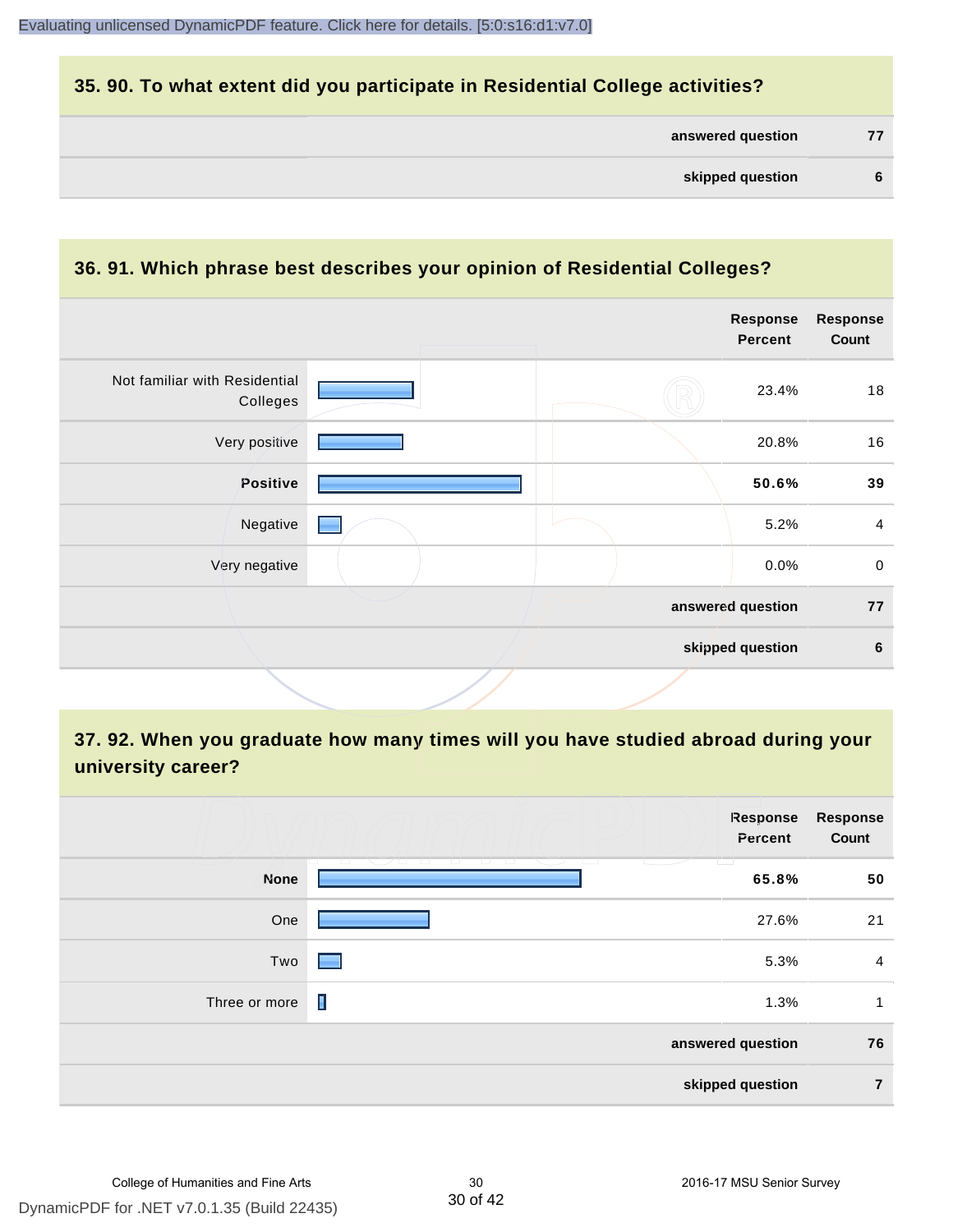#### **35. 90. To what extent did you participate in Residential College activities?**

| answered question |  |
|-------------------|--|
|-------------------|--|

#### **36. 91. Which phrase best describes your opinion of Residential Colleges?**

|  | Response<br><b>Percent</b> | <b>Response</b><br>Count              |
|--|----------------------------|---------------------------------------|
|  | 23.4%                      | 18                                    |
|  | 20.8%                      | 16                                    |
|  | 50.6%                      | 39                                    |
|  | 5.2%                       | $\overline{4}$                        |
|  | 0.0%                       | $\mathbf 0$                           |
|  |                            | 77                                    |
|  |                            | 6                                     |
|  |                            | answered question<br>skipped question |

# **37. 92. When you graduate how many times will you have studied abroad during your university career?**

|               | Response<br>Percent                                                                                                             | <b>Response</b><br>Count |
|---------------|---------------------------------------------------------------------------------------------------------------------------------|--------------------------|
| <b>None</b>   | المستان<br>- 1 - 1 - 1<br><b>1970 D</b><br>- 1 - 1 - 1<br>$\overline{1}$<br><b>Contract Contract Contract Contract</b><br>65.8% | 50                       |
| One           | 27.6%                                                                                                                           | 21                       |
| Two           | 5.3%<br><b>Contract Contract Contract</b>                                                                                       | $\overline{4}$           |
| Three or more | П<br>1.3%                                                                                                                       | 1                        |
|               | answered question                                                                                                               | 76                       |
|               | skipped question                                                                                                                | $\overline{7}$           |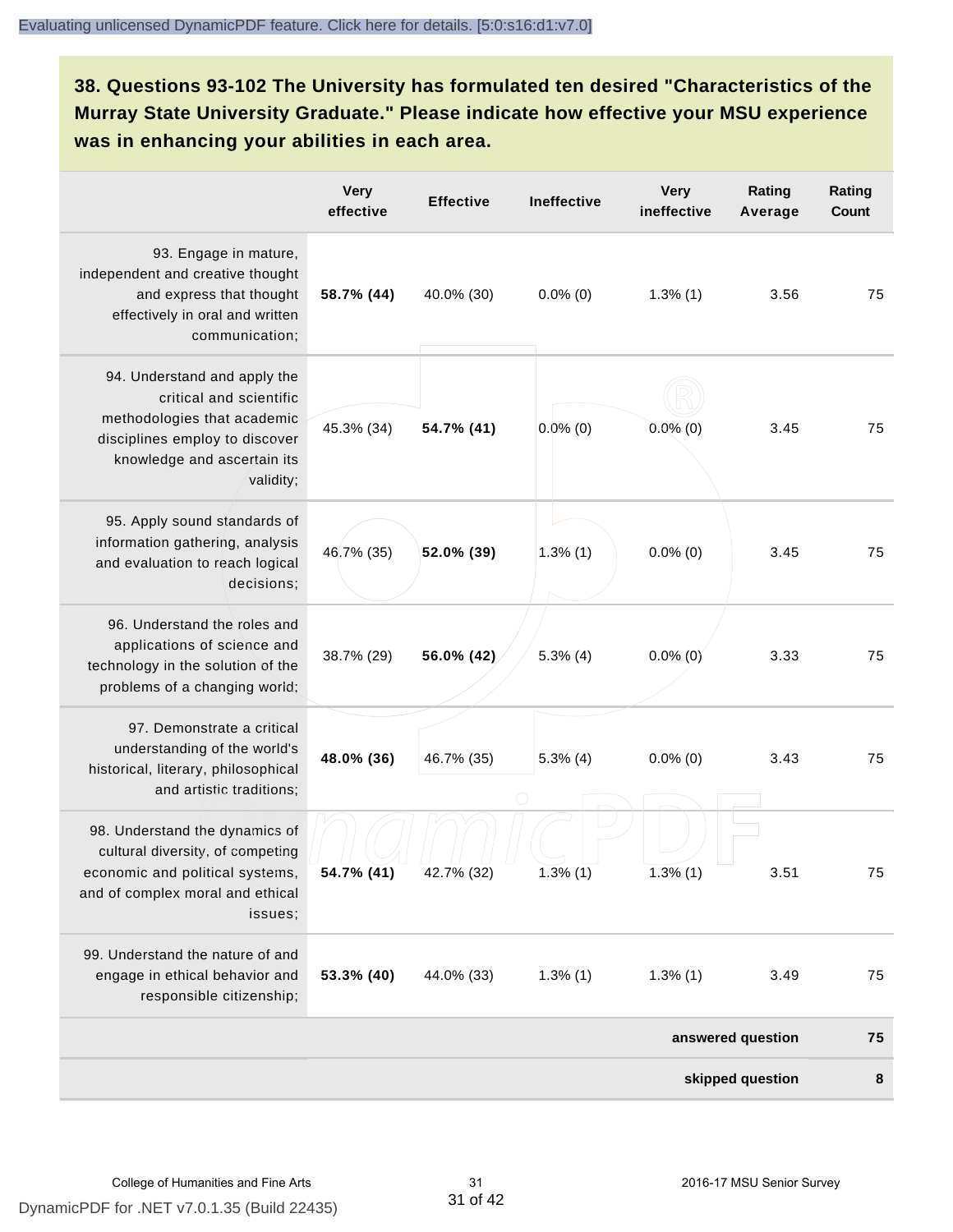# **38. Questions 93-102 The University has formulated ten desired "Characteristics of the Murray State University Graduate." Please indicate how effective your MSU experience was in enhancing your abilities in each area.**

|                                                                                                                                                                      | <b>Very</b><br>effective | <b>Effective</b> | Ineffective | <b>Very</b><br>ineffective | Rating<br>Average | Rating<br><b>Count</b> |
|----------------------------------------------------------------------------------------------------------------------------------------------------------------------|--------------------------|------------------|-------------|----------------------------|-------------------|------------------------|
| 93. Engage in mature,<br>independent and creative thought<br>and express that thought<br>effectively in oral and written<br>communication;                           | 58.7% (44)               | 40.0% (30)       | $0.0\%$ (0) | $1.3\%$ (1)                | 3.56              | 75                     |
| 94. Understand and apply the<br>critical and scientific<br>methodologies that academic<br>disciplines employ to discover<br>knowledge and ascertain its<br>validity; | 45.3% (34)               | 54.7% (41)       | $0.0\%$ (0) | $0.0\%$ (0)                | 3.45              | 75                     |
| 95. Apply sound standards of<br>information gathering, analysis<br>and evaluation to reach logical<br>decisions;                                                     | 46.7% (35)               | 52.0% (39)       | 1.3%(1)     | $0.0\%$ (0)                | 3.45              | 75                     |
| 96. Understand the roles and<br>applications of science and<br>technology in the solution of the<br>problems of a changing world;                                    | 38.7% (29)               | 56.0% (42)       | $5.3\%$ (4) | $0.0\%$ (0)                | 3.33              | 75                     |
| 97. Demonstrate a critical<br>understanding of the world's<br>historical, literary, philosophical<br>and artistic traditions;                                        | 48.0% (36)               | 46.7% (35)       | $5.3\%$ (4) | $0.0\%$ (0)                | 3.43              | 75                     |
| 98. Understand the dynamics of<br>cultural diversity, of competing<br>economic and political systems,<br>and of complex moral and ethical<br>issues;                 | 54.7% (41)               | 42.7% (32)       | $1.3\%$ (1) | 1.3%(1)                    | 3.51              | 75                     |
| 99. Understand the nature of and<br>engage in ethical behavior and<br>responsible citizenship;                                                                       | 53.3% (40)               | 44.0% (33)       | $1.3\%$ (1) | $1.3\%$ (1)                | 3.49              | 75                     |
|                                                                                                                                                                      |                          |                  |             |                            | answered question | 75                     |
|                                                                                                                                                                      |                          |                  |             |                            | skipped question  | 8                      |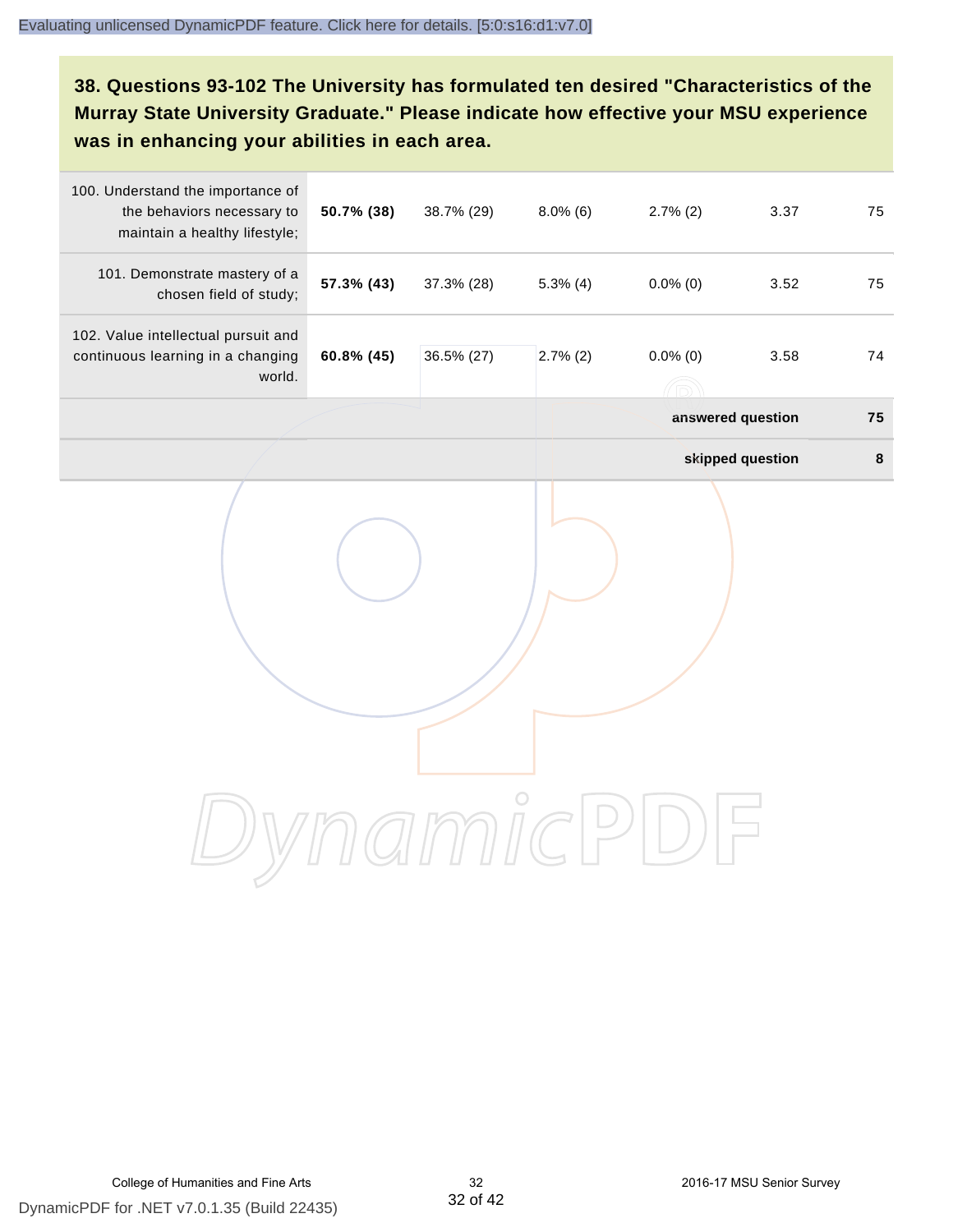# **38. Questions 93-102 The University has formulated ten desired "Characteristics of the Murray State University Graduate." Please indicate how effective your MSU experience was in enhancing your abilities in each area.**

| 100. Understand the importance of<br>the behaviors necessary to<br>maintain a healthy lifestyle; | 50.7% (38) | 38.7% (29) | $8.0\%$ (6) | $2.7\%$ (2)       | 3.37             | 75     |
|--------------------------------------------------------------------------------------------------|------------|------------|-------------|-------------------|------------------|--------|
| 101. Demonstrate mastery of a<br>chosen field of study;                                          | 57.3% (43) | 37.3% (28) | $5.3\%$ (4) | $0.0\%$ (0)       | 3.52             | 75     |
| 102. Value intellectual pursuit and<br>continuous learning in a changing<br>world.               | 60.8% (45) | 36.5% (27) | $2.7\%$ (2) | $0.0\%$ (0)       | 3.58             | 74     |
|                                                                                                  |            |            |             | answered question |                  | 75     |
|                                                                                                  |            |            |             |                   | skipped question | $\bf8$ |
|                                                                                                  |            |            |             |                   |                  |        |
|                                                                                                  |            |            |             |                   |                  |        |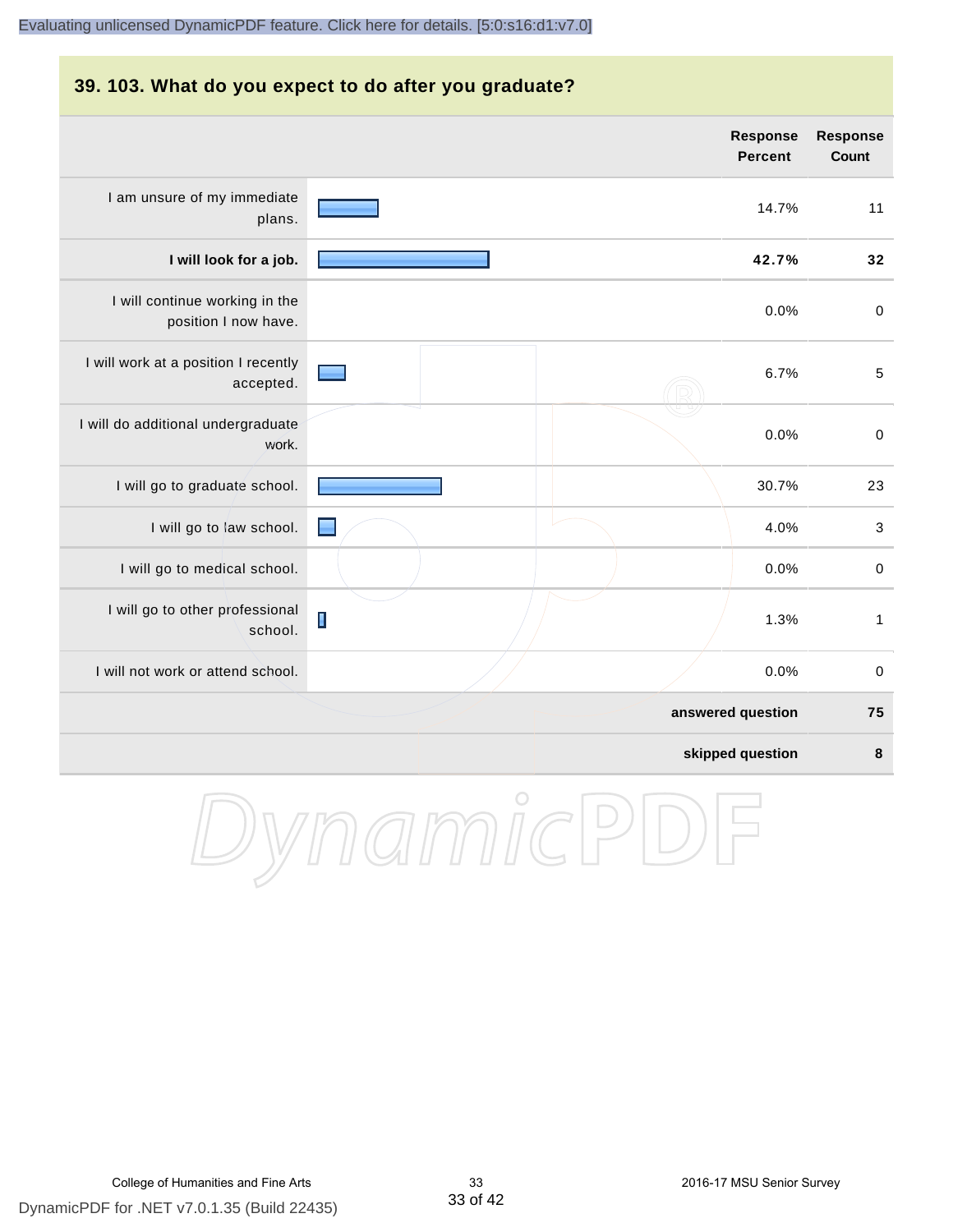# **39. 103. What do you expect to do after you graduate? Response Response Percent Count** I am unsure of my immediate 14.7% 11 plans. **I will look for a job. 42.7% 32** I will continue working in the 0.0% 0 position I now have. I will work at a position I recently 6.7% 5 accepted. I will do additional undergraduate 0.0% 0 work. I will go to graduate school. **I will go to graduate school.** 23 I will go to law school. 4.0% 3 I will go to medical school.  $\qquad \qquad \qquad$  0.0% 0 I will go to other professional  $\blacksquare$ 1.3% 1 school. I will not work or attend school. 0.0% 0 **answered question 75 skipped question 8**

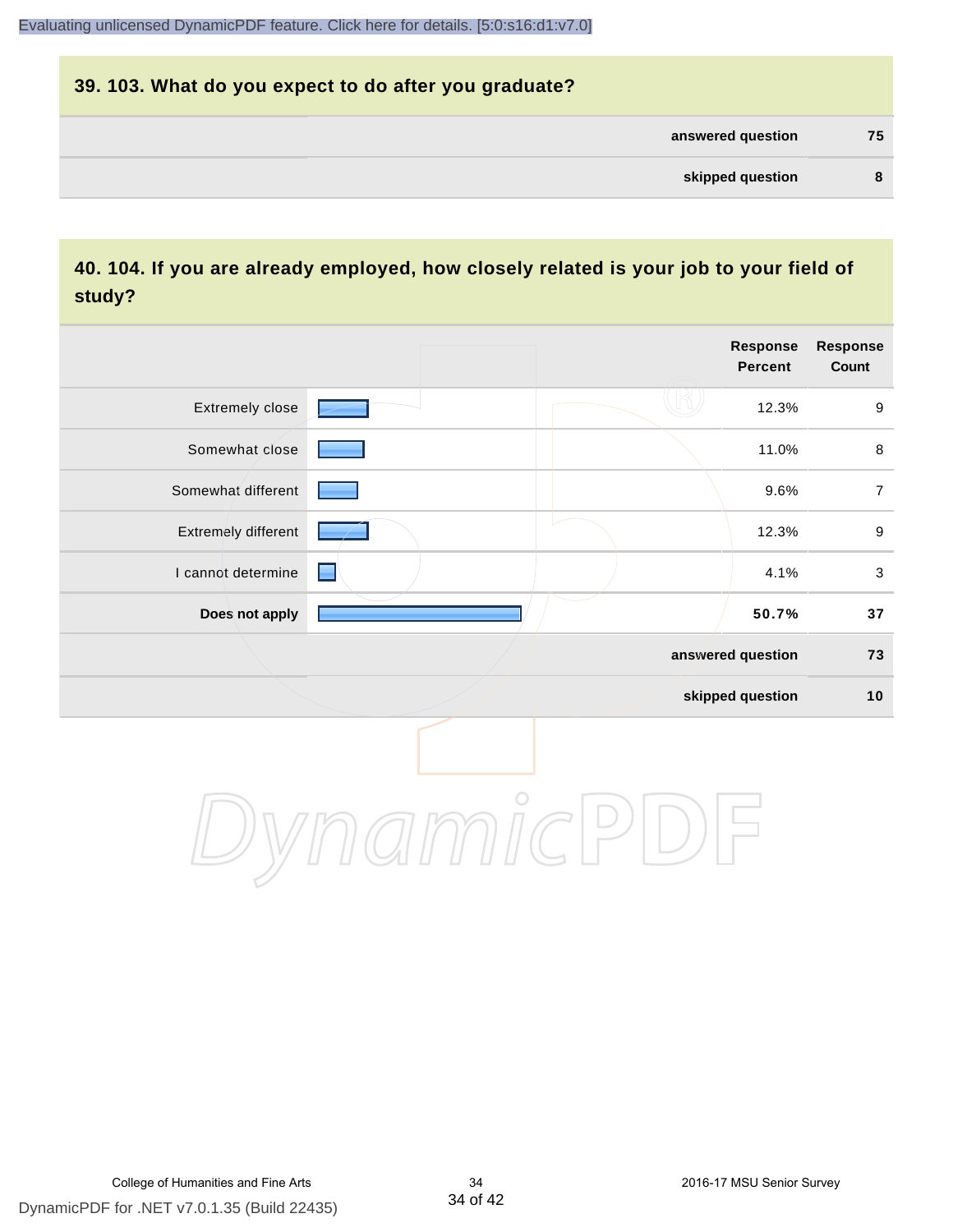# **39. 103. What do you expect to do after you graduate? answered question 75 skipped question 8**

### **40. 104. If you are already employed, how closely related is your job to your field of study?**

|                     |            | <b>Response</b><br><b>Percent</b> | <b>Response</b><br>Count |
|---------------------|------------|-----------------------------------|--------------------------|
| Extremely close     |            | 12.3%                             | $\boldsymbol{9}$         |
| Somewhat close      |            | 11.0%                             | $\,8\,$                  |
| Somewhat different  |            | 9.6%                              | $\overline{7}$           |
| Extremely different |            | 12.3%                             | $\boldsymbol{9}$         |
| I cannot determine  | ■          | 4.1%                              | $\mathbf{3}$             |
| Does not apply      |            | 50.7%                             | $37\,$                   |
|                     |            | answered question                 | 73                       |
|                     |            | skipped question                  | 10                       |
|                     | $\bigcirc$ |                                   |                          |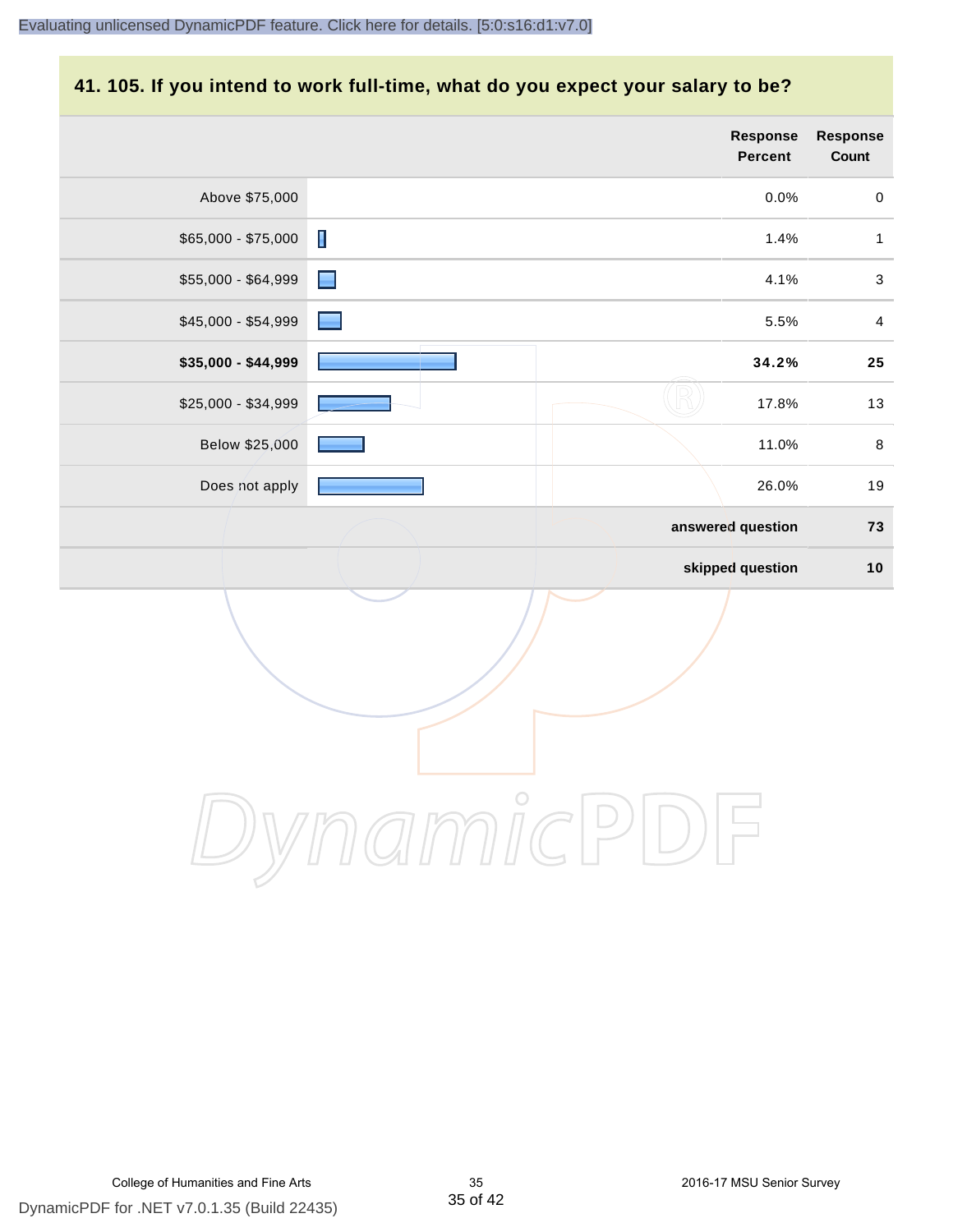# **41. 105. If you intend to work full-time, what do you expect your salary to be?**

|                     |                | <b>Response</b><br>Percent | Response<br>Count |
|---------------------|----------------|----------------------------|-------------------|
| Above \$75,000      |                | 0.0%                       | $\mathbf 0$       |
| \$65,000 - \$75,000 | $\blacksquare$ | 1.4%                       | $\mathbf{1}$      |
| \$55,000 - \$64,999 | $\blacksquare$ | 4.1%                       | $\mathfrak{S}$    |
| \$45,000 - \$54,999 |                | 5.5%                       | $\overline{4}$    |
| \$35,000 - \$44,999 |                | 34.2%                      | ${\bf 25}$        |
| \$25,000 - \$34,999 |                | 17.8%                      | 13                |
| Below \$25,000      |                | 11.0%                      | $\,8\,$           |
| Does not apply      |                | 26.0%                      | $19$              |
|                     |                | answered question          | 73                |
|                     |                | skipped question           | 10                |
|                     |                |                            |                   |
|                     | $\bigcirc$     |                            |                   |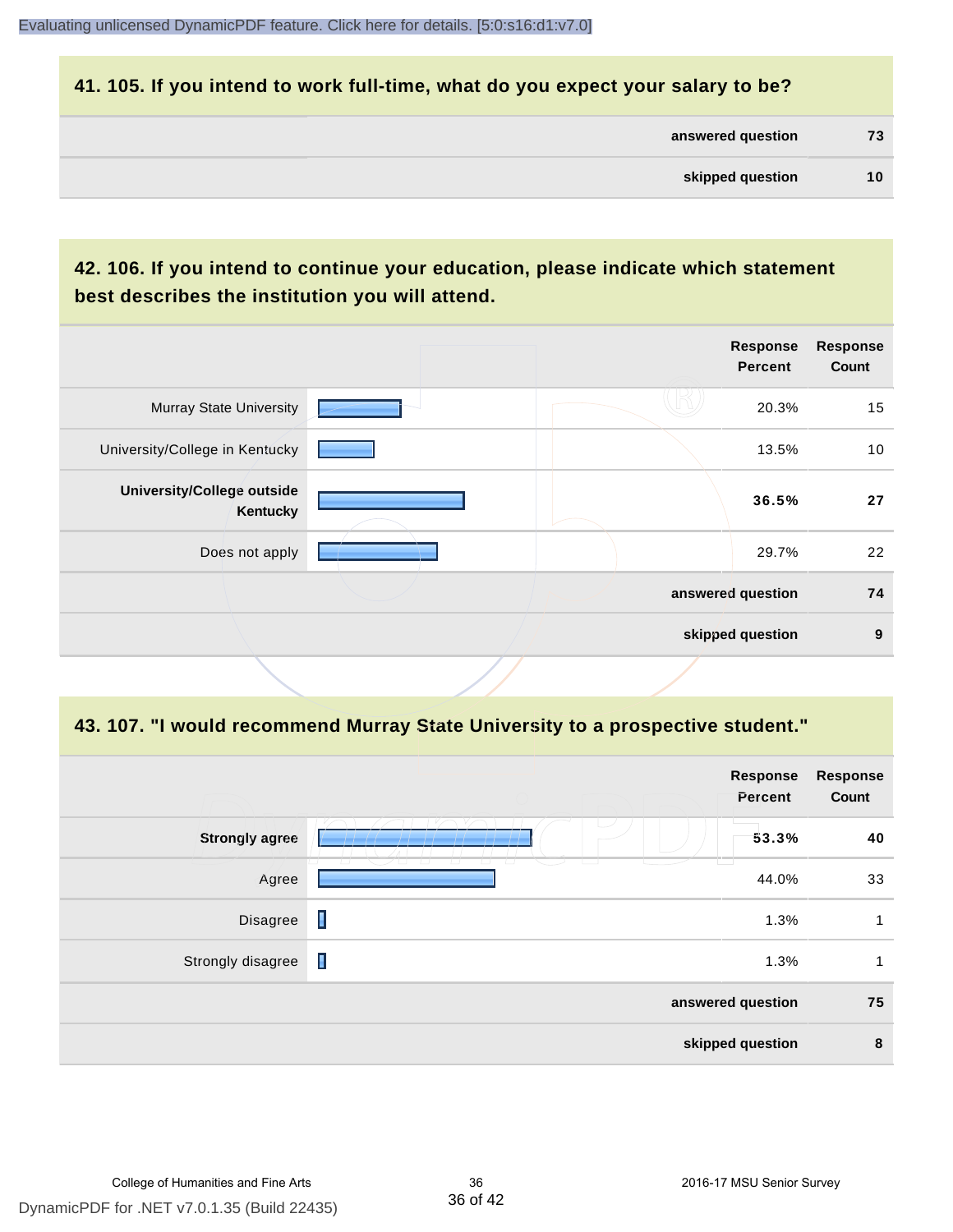#### **41. 105. If you intend to work full-time, what do you expect your salary to be?**

| answered question | 73 |
|-------------------|----|
|                   |    |

## **42. 106. If you intend to continue your education, please indicate which statement best describes the institution you will attend.**

|                                        |  | <b>Response</b><br><b>Percent</b> | <b>Response</b><br>Count |
|----------------------------------------|--|-----------------------------------|--------------------------|
| <b>Murray State University</b>         |  | 20.3%                             | 15                       |
| University/College in Kentucky         |  | 13.5%                             | 10                       |
| University/College outside<br>Kentucky |  | 36.5%                             | 27                       |
| Does not apply                         |  | 29.7%                             | 22                       |
|                                        |  | answered question                 | 74                       |
|                                        |  | skipped question                  | 9                        |
|                                        |  |                                   |                          |

#### **43. 107. "I would recommend Murray State University to a prospective student."**

|                       |                                                               | <b>Response</b><br>Percent | <b>Response</b><br>Count |
|-----------------------|---------------------------------------------------------------|----------------------------|--------------------------|
| <b>Strongly agree</b> |                                                               | 53.3%                      | 40                       |
| Agree                 | $\sqrt{2}$<br>$\overline{a}$<br>$\overline{\phantom{0}}$<br>ப | 44.0%                      | 33                       |
| Disagree              | I                                                             | 1.3%                       | 1                        |
| Strongly disagree     | $\blacksquare$                                                | 1.3%                       | 1                        |
|                       |                                                               | answered question          | 75                       |
|                       |                                                               | skipped question           | 8                        |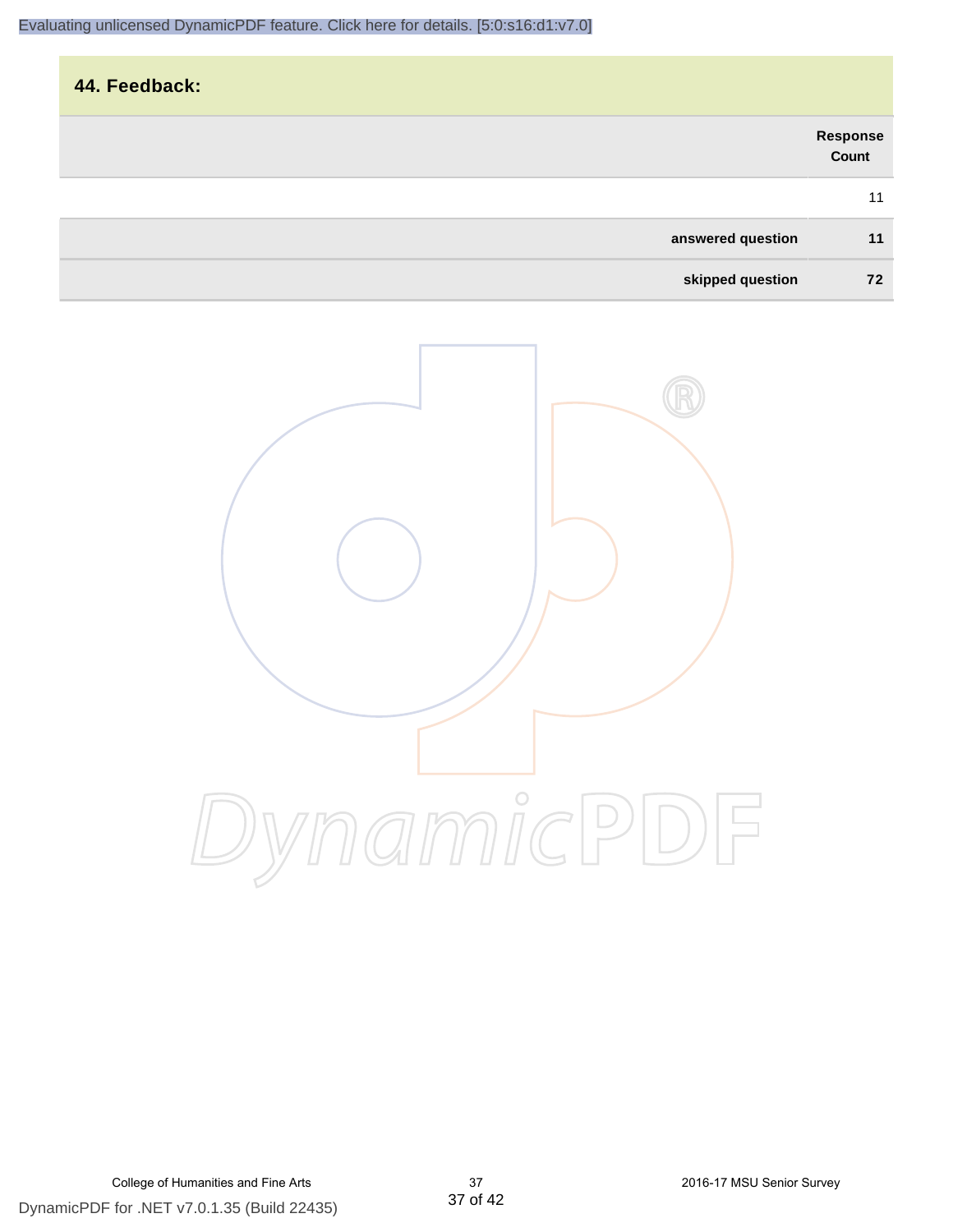| 44. Feedback:     |                   |
|-------------------|-------------------|
|                   | Response<br>Count |
|                   | 11                |
| answered question | 11                |
| skipped question  | 72                |

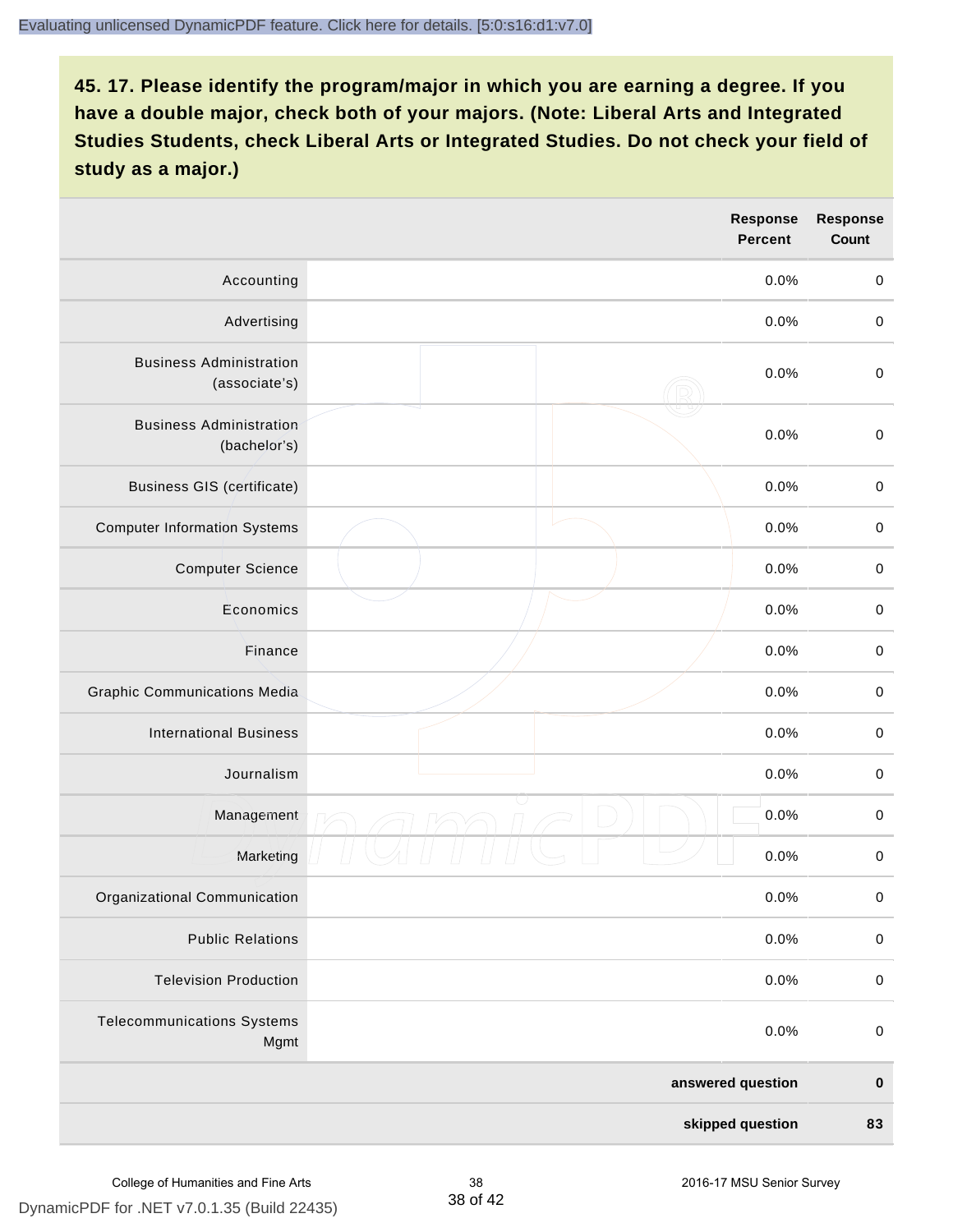|                                                 |  | <b>Response</b><br><b>Percent</b> | <b>Response</b><br>Count |
|-------------------------------------------------|--|-----------------------------------|--------------------------|
| Accounting                                      |  | 0.0%                              | $\mathbf 0$              |
| Advertising                                     |  | 0.0%                              | $\pmb{0}$                |
| <b>Business Administration</b><br>(associate's) |  | 0.0%                              | $\mathbf 0$              |
| <b>Business Administration</b><br>(bachelor's)  |  | 0.0%                              | $\pmb{0}$                |
| <b>Business GIS (certificate)</b>               |  | 0.0%                              | $\mathbf 0$              |
| <b>Computer Information Systems</b>             |  | 0.0%                              | $\pmb{0}$                |
| <b>Computer Science</b>                         |  | 0.0%                              | $\pmb{0}$                |
| Economics                                       |  | 0.0%                              | $\mathbf 0$              |
| Finance                                         |  | 0.0%                              | $\mathbf 0$              |
| <b>Graphic Communications Media</b>             |  | 0.0%                              | $\mathbf 0$              |
| <b>International Business</b>                   |  | 0.0%                              | $\pmb{0}$                |
| Journalism                                      |  | 0.0%                              | $\pmb{0}$                |
| Management                                      |  | 0.0%                              | $\mathbf 0$              |
| Marketing                                       |  | 0.0%                              | $\mathbf 0$              |
| Organizational Communication                    |  | 0.0%                              | $\pmb{0}$                |
| <b>Public Relations</b>                         |  | 0.0%                              | $\pmb{0}$                |
| <b>Television Production</b>                    |  | 0.0%                              | $\mathbf 0$              |
| <b>Telecommunications Systems</b><br>Mgmt       |  | 0.0%                              | $\mathbf 0$              |
|                                                 |  | answered question                 | $\pmb{0}$                |
| skipped question                                |  | 83                                |                          |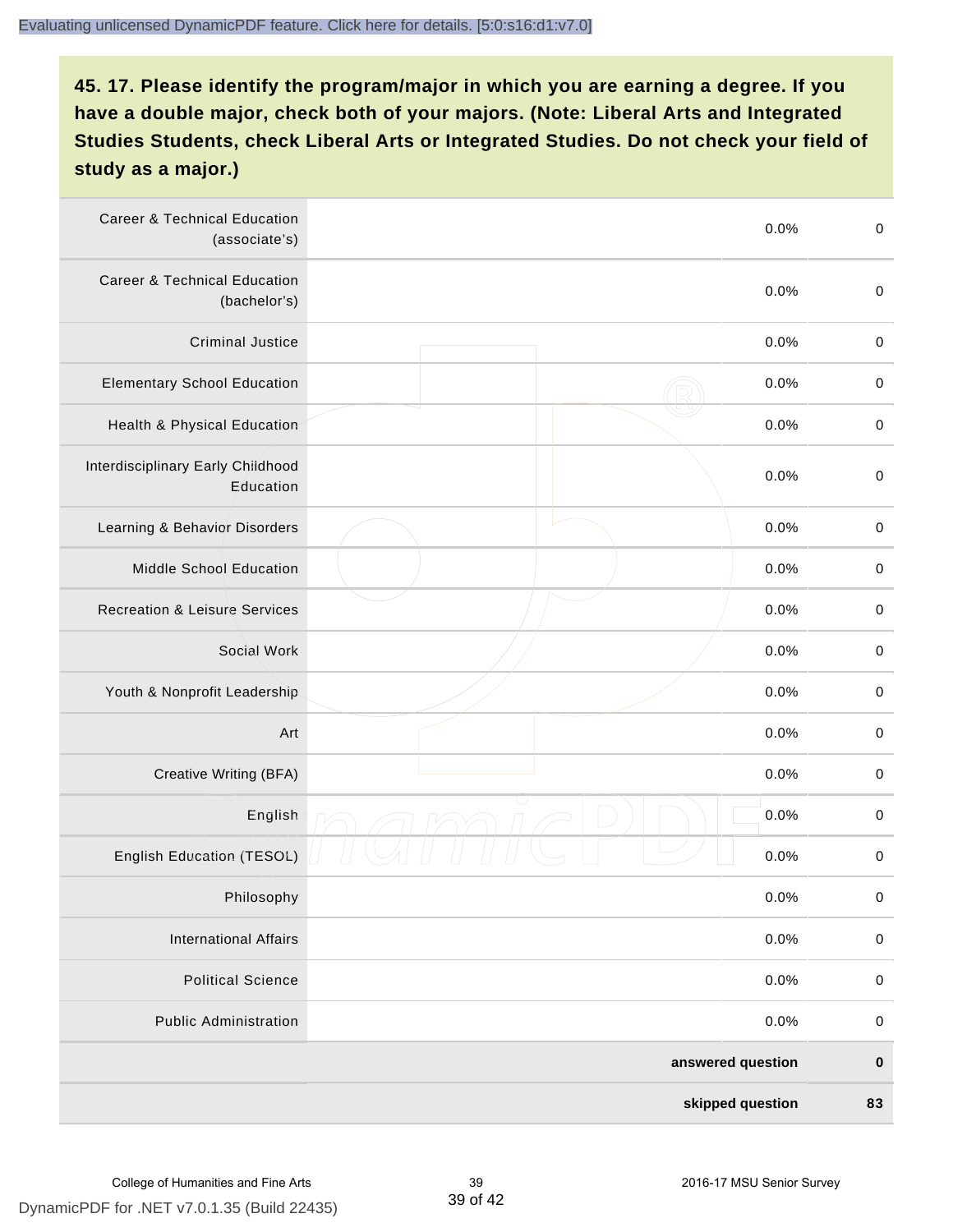| <b>Career &amp; Technical Education</b><br>(associate's) | 0.0%              | $\pmb{0}$   |
|----------------------------------------------------------|-------------------|-------------|
| <b>Career &amp; Technical Education</b><br>(bachelor's)  | 0.0%              | $\mathbf 0$ |
| <b>Criminal Justice</b>                                  | 0.0%              | $\pmb{0}$   |
| <b>Elementary School Education</b>                       | 0.0%              | $\pmb{0}$   |
| Health & Physical Education                              | 0.0%              | $\pmb{0}$   |
| Interdisciplinary Early Childhood<br>Education           | 0.0%              | $\pmb{0}$   |
| Learning & Behavior Disorders                            | 0.0%              | $\pmb{0}$   |
| Middle School Education                                  | 0.0%              | $\mathbf 0$ |
| <b>Recreation &amp; Leisure Services</b>                 | 0.0%              | $\mathbf 0$ |
| Social Work                                              | 0.0%              | $\mathbf 0$ |
| Youth & Nonprofit Leadership                             | 0.0%              | $\mathbf 0$ |
| Art                                                      | 0.0%              | $\pmb{0}$   |
| Creative Writing (BFA)                                   | 0.0%              | $\pmb{0}$   |
| English                                                  | 0.0%              | $\pmb{0}$   |
| English Education (TESOL)                                | 0.0%              | $\pmb{0}$   |
| Philosophy                                               | 0.0%              | 0           |
| <b>International Affairs</b>                             | 0.0%              | $\pmb{0}$   |
| <b>Political Science</b>                                 | 0.0%              | $\mathbf 0$ |
| <b>Public Administration</b>                             | 0.0%              | $\mathbf 0$ |
|                                                          | answered question | $\pmb{0}$   |
|                                                          | skipped question  | 83          |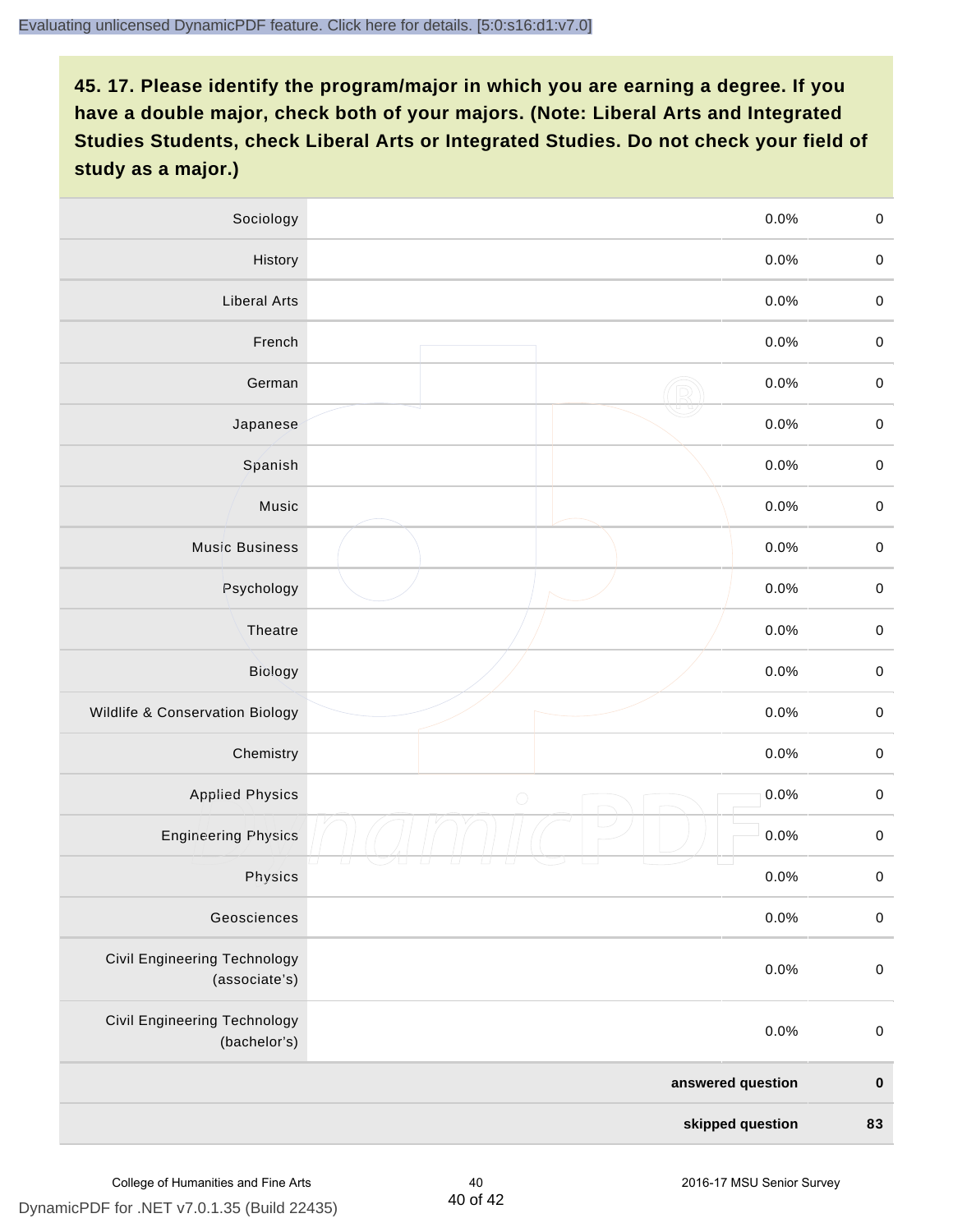| Sociology                                     | 0.0%               | $\mathbf 0$         |
|-----------------------------------------------|--------------------|---------------------|
| History                                       | 0.0%               | $\mathbf 0$         |
| <b>Liberal Arts</b>                           | 0.0%               | $\mathbf 0$         |
| French                                        | 0.0%               | $\pmb{0}$           |
| German                                        | 0.0%               | $\mathbf 0$         |
| Japanese                                      | 0.0%               | $\mathbf 0$         |
| Spanish                                       | 0.0%               | $\mathbf 0$         |
| Music                                         | 0.0%               | $\mathbf 0$         |
| <b>Music Business</b>                         | 0.0%               | $\pmb{0}$           |
| Psychology                                    | 0.0%               | $\mathbf 0$         |
| Theatre                                       | 0.0%               | $\mathbf 0$         |
| Biology                                       | 0.0%               | $\mathbf 0$         |
| Wildlife & Conservation Biology               | 0.0%               | $\mathbf 0$         |
| Chemistry                                     | 0.0%               | $\pmb{0}$           |
| <b>Applied Physics</b>                        | 0.0%<br>$\bigcirc$ | $\mathbf 0$         |
| <b>Engineering Physics</b>                    | 0.0%               | $\mathbf 0$         |
| Physics                                       | 0.0%               | $\mathsf{O}\xspace$ |
| Geosciences                                   | 0.0%               | $\mathbf 0$         |
| Civil Engineering Technology<br>(associate's) | 0.0%               | $\pmb{0}$           |
| Civil Engineering Technology<br>(bachelor's)  | 0.0%               | $\mathbf 0$         |
|                                               | answered question  |                     |
| skipped question                              |                    | 83                  |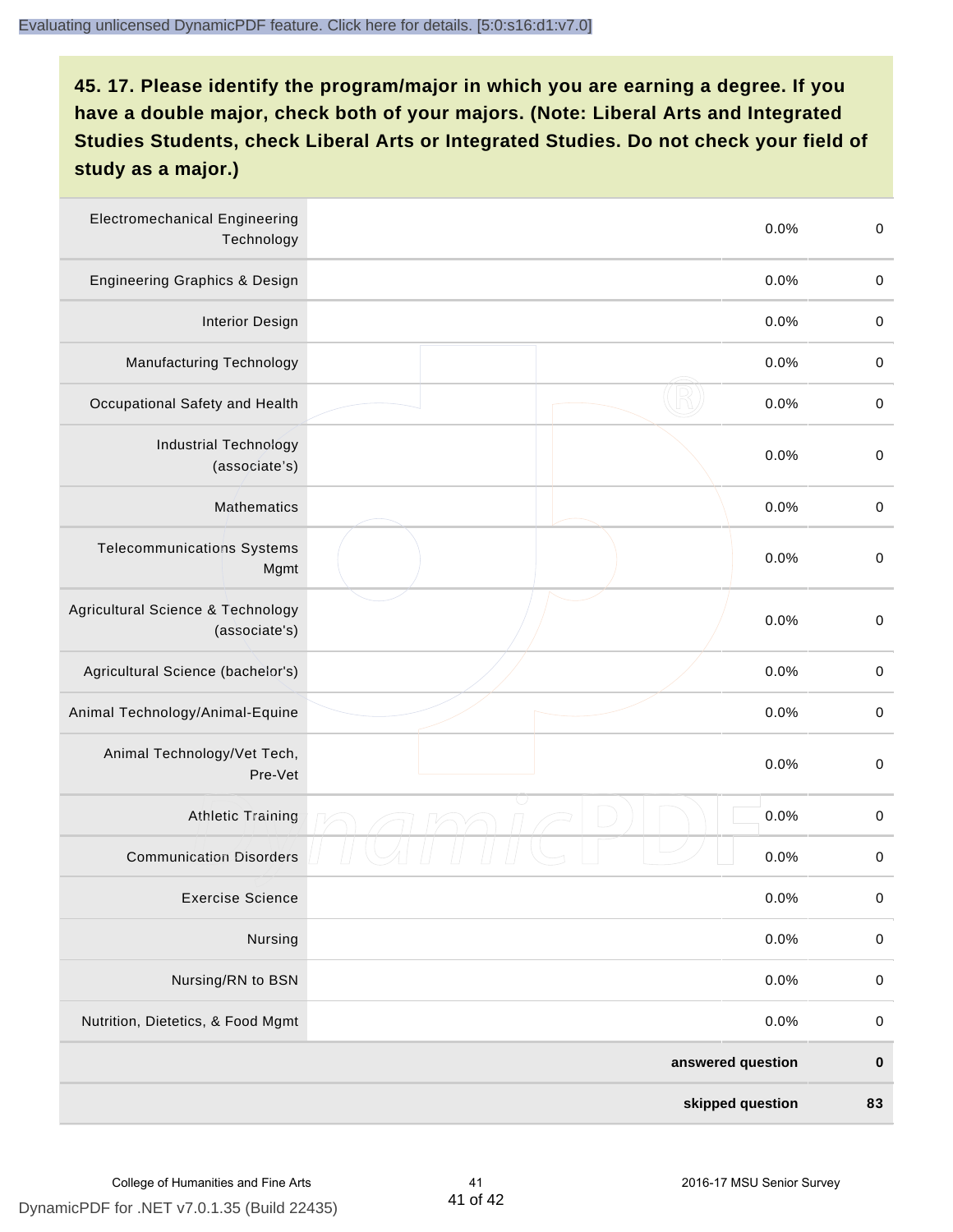| <b>Electromechanical Engineering</b><br>Technology | 0.0%              | $\mathbf 0$ |
|----------------------------------------------------|-------------------|-------------|
| <b>Engineering Graphics &amp; Design</b>           | 0.0%              | $\mathbf 0$ |
| <b>Interior Design</b>                             | 0.0%              | $\pmb{0}$   |
| <b>Manufacturing Technology</b>                    | 0.0%              | $\pmb{0}$   |
| Occupational Safety and Health                     | 0.0%              | $\pmb{0}$   |
| <b>Industrial Technology</b><br>(associate's)      | 0.0%              | $\pmb{0}$   |
| <b>Mathematics</b>                                 | 0.0%              | $\pmb{0}$   |
| <b>Telecommunications Systems</b><br>Mgmt          | 0.0%              | $\pmb{0}$   |
| Agricultural Science & Technology<br>(associate's) | 0.0%              | $\mathbf 0$ |
| Agricultural Science (bachelor's)                  | 0.0%              | $\mathbf 0$ |
| Animal Technology/Animal-Equine                    | 0.0%              | $\pmb{0}$   |
| Animal Technology/Vet Tech,<br>Pre-Vet             | 0.0%              | $\pmb{0}$   |
| Athletic Training                                  | 0.0%              | $\pmb{0}$   |
| <b>Communication Disorders</b>                     | 0.0%              | $\pmb{0}$   |
| <b>Exercise Science</b>                            | 0.0%              | $\pmb{0}$   |
| Nursing                                            | 0.0%              | $\mathbf 0$ |
| Nursing/RN to BSN                                  | 0.0%              | $\pmb{0}$   |
| Nutrition, Dietetics, & Food Mgmt                  | 0.0%              | $\,0\,$     |
|                                                    | answered question | $\pmb{0}$   |
|                                                    | skipped question  | 83          |